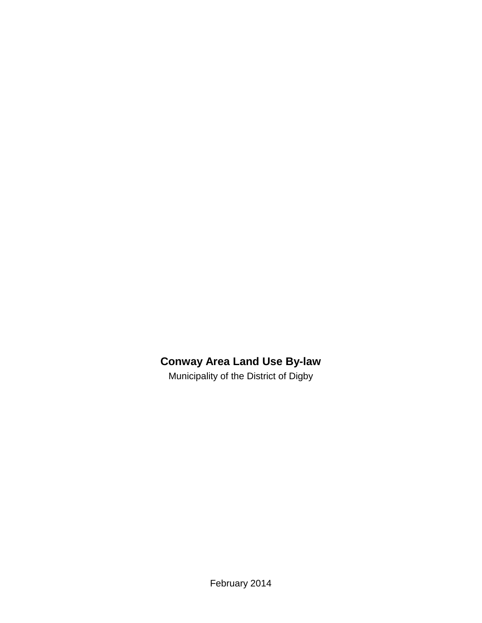# **Conway Area Land Use By-law**

Municipality of the District of Digby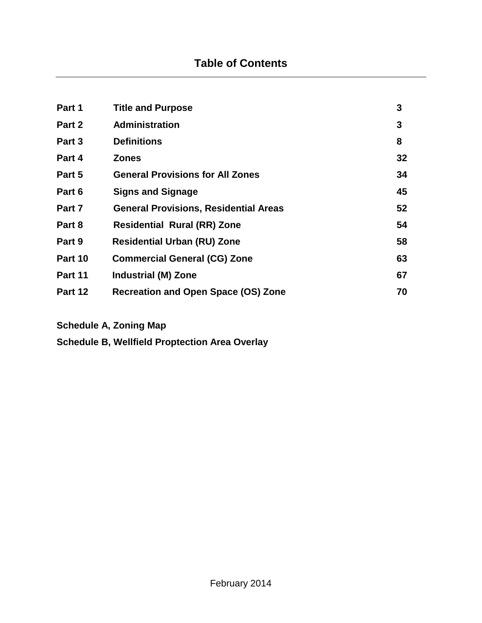| Part 1  | <b>Title and Purpose</b>                     | 3  |
|---------|----------------------------------------------|----|
| Part 2  | <b>Administration</b>                        | 3  |
| Part 3  | <b>Definitions</b>                           | 8  |
| Part 4  | <b>Zones</b>                                 | 32 |
| Part 5  | <b>General Provisions for All Zones</b>      | 34 |
| Part 6  | <b>Signs and Signage</b>                     | 45 |
| Part 7  | <b>General Provisions, Residential Areas</b> | 52 |
| Part 8  | <b>Residential Rural (RR) Zone</b>           | 54 |
| Part 9  | <b>Residential Urban (RU) Zone</b>           | 58 |
| Part 10 | <b>Commercial General (CG) Zone</b>          | 63 |
| Part 11 | <b>Industrial (M) Zone</b>                   | 67 |
| Part 12 | <b>Recreation and Open Space (OS) Zone</b>   | 70 |

**Schedule A, Zoning Map**

**Schedule B, Wellfield Proptection Area Overlay**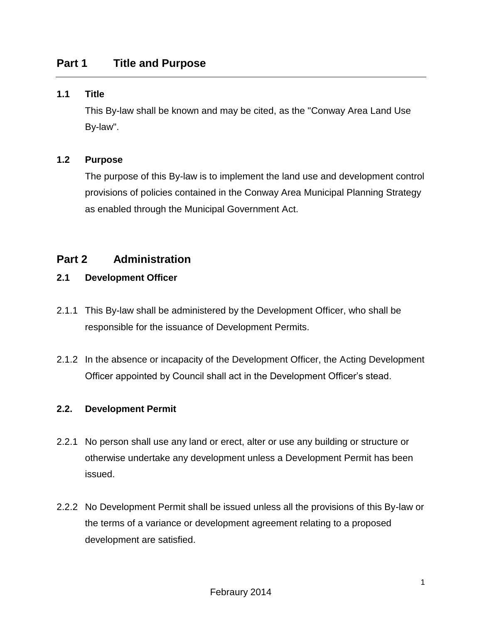#### **1.1 Title**

This By-law shall be known and may be cited, as the "Conway Area Land Use By-law".

#### **1.2 Purpose**

The purpose of this By-law is to implement the land use and development control provisions of policies contained in the Conway Area Municipal Planning Strategy as enabled through the Municipal Government Act.

## **Part 2 Administration**

#### **2.1 Development Officer**

- 2.1.1 This By-law shall be administered by the Development Officer, who shall be responsible for the issuance of Development Permits.
- 2.1.2 In the absence or incapacity of the Development Officer, the Acting Development Officer appointed by Council shall act in the Development Officer's stead.

#### **2.2. Development Permit**

- 2.2.1 No person shall use any land or erect, alter or use any building or structure or otherwise undertake any development unless a Development Permit has been issued.
- 2.2.2 No Development Permit shall be issued unless all the provisions of this By-law or the terms of a variance or development agreement relating to a proposed development are satisfied.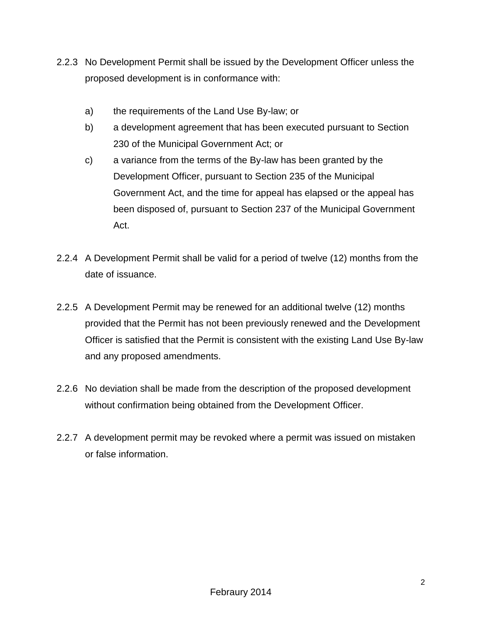- 2.2.3 No Development Permit shall be issued by the Development Officer unless the proposed development is in conformance with:
	- a) the requirements of the Land Use By-law; or
	- b) a development agreement that has been executed pursuant to Section 230 of the Municipal Government Act; or
	- c) a variance from the terms of the By-law has been granted by the Development Officer, pursuant to Section 235 of the Municipal Government Act, and the time for appeal has elapsed or the appeal has been disposed of, pursuant to Section 237 of the Municipal Government Act.
- 2.2.4 A Development Permit shall be valid for a period of twelve (12) months from the date of issuance.
- 2.2.5 A Development Permit may be renewed for an additional twelve (12) months provided that the Permit has not been previously renewed and the Development Officer is satisfied that the Permit is consistent with the existing Land Use By-law and any proposed amendments.
- 2.2.6 No deviation shall be made from the description of the proposed development without confirmation being obtained from the Development Officer.
- 2.2.7 A development permit may be revoked where a permit was issued on mistaken or false information.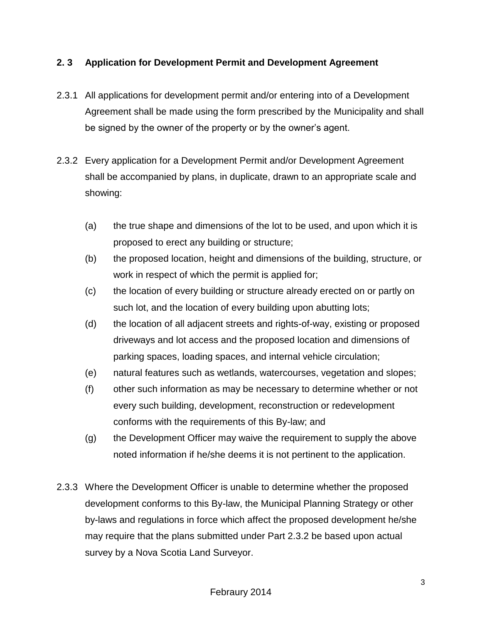## **2. 3 Application for Development Permit and Development Agreement**

- 2.3.1 All applications for development permit and/or entering into of a Development Agreement shall be made using the form prescribed by the Municipality and shall be signed by the owner of the property or by the owner's agent.
- 2.3.2 Every application for a Development Permit and/or Development Agreement shall be accompanied by plans, in duplicate, drawn to an appropriate scale and showing:
	- (a) the true shape and dimensions of the lot to be used, and upon which it is proposed to erect any building or structure;
	- (b) the proposed location, height and dimensions of the building, structure, or work in respect of which the permit is applied for;
	- (c) the location of every building or structure already erected on or partly on such lot, and the location of every building upon abutting lots;
	- (d) the location of all adjacent streets and rights-of-way, existing or proposed driveways and lot access and the proposed location and dimensions of parking spaces, loading spaces, and internal vehicle circulation;
	- (e) natural features such as wetlands, watercourses, vegetation and slopes;
	- (f) other such information as may be necessary to determine whether or not every such building, development, reconstruction or redevelopment conforms with the requirements of this By-law; and
	- (g) the Development Officer may waive the requirement to supply the above noted information if he/she deems it is not pertinent to the application.
- 2.3.3 Where the Development Officer is unable to determine whether the proposed development conforms to this By-law, the Municipal Planning Strategy or other by-laws and regulations in force which affect the proposed development he/she may require that the plans submitted under Part 2.3.2 be based upon actual survey by a Nova Scotia Land Surveyor.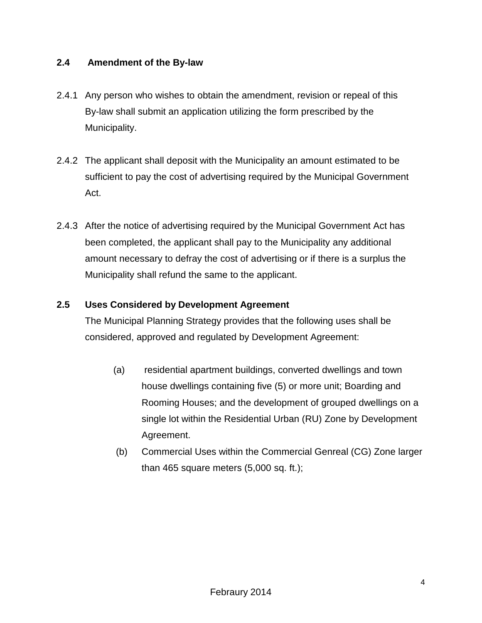## **2.4 Amendment of the By-law**

- 2.4.1 Any person who wishes to obtain the amendment, revision or repeal of this By-law shall submit an application utilizing the form prescribed by the Municipality.
- 2.4.2 The applicant shall deposit with the Municipality an amount estimated to be sufficient to pay the cost of advertising required by the Municipal Government Act.
- 2.4.3 After the notice of advertising required by the Municipal Government Act has been completed, the applicant shall pay to the Municipality any additional amount necessary to defray the cost of advertising or if there is a surplus the Municipality shall refund the same to the applicant.

## **2.5 Uses Considered by Development Agreement**

The Municipal Planning Strategy provides that the following uses shall be considered, approved and regulated by Development Agreement:

- (a) residential apartment buildings, converted dwellings and town house dwellings containing five (5) or more unit; Boarding and Rooming Houses; and the development of grouped dwellings on a single lot within the Residential Urban (RU) Zone by Development Agreement.
- (b) Commercial Uses within the Commercial Genreal (CG) Zone larger than 465 square meters (5,000 sq. ft.);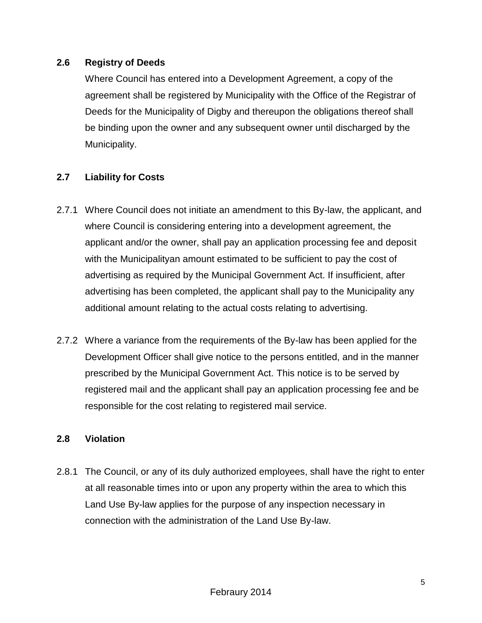## **2.6 Registry of Deeds**

Where Council has entered into a Development Agreement, a copy of the agreement shall be registered by Municipality with the Office of the Registrar of Deeds for the Municipality of Digby and thereupon the obligations thereof shall be binding upon the owner and any subsequent owner until discharged by the Municipality.

## **2.7 Liability for Costs**

- 2.7.1 Where Council does not initiate an amendment to this By-law, the applicant, and where Council is considering entering into a development agreement, the applicant and/or the owner, shall pay an application processing fee and deposit with the Municipalityan amount estimated to be sufficient to pay the cost of advertising as required by the Municipal Government Act. If insufficient, after advertising has been completed, the applicant shall pay to the Municipality any additional amount relating to the actual costs relating to advertising.
- 2.7.2 Where a variance from the requirements of the By-law has been applied for the Development Officer shall give notice to the persons entitled, and in the manner prescribed by the Municipal Government Act. This notice is to be served by registered mail and the applicant shall pay an application processing fee and be responsible for the cost relating to registered mail service.

## **2.8 Violation**

2.8.1 The Council, or any of its duly authorized employees, shall have the right to enter at all reasonable times into or upon any property within the area to which this Land Use By-law applies for the purpose of any inspection necessary in connection with the administration of the Land Use By-law.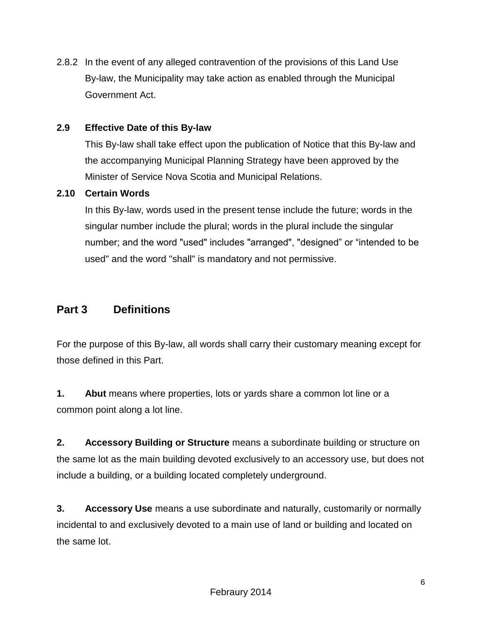2.8.2 In the event of any alleged contravention of the provisions of this Land Use By-law, the Municipality may take action as enabled through the Municipal Government Act.

## **2.9 Effective Date of this By-law**

This By-law shall take effect upon the publication of Notice that this By-law and the accompanying Municipal Planning Strategy have been approved by the Minister of Service Nova Scotia and Municipal Relations.

#### **2.10 Certain Words**

In this By-law, words used in the present tense include the future; words in the singular number include the plural; words in the plural include the singular number; and the word "used" includes "arranged", "designed" or "intended to be used" and the word "shall" is mandatory and not permissive.

## **Part 3 Definitions**

For the purpose of this By-law, all words shall carry their customary meaning except for those defined in this Part.

**1. Abut** means where properties, lots or yards share a common lot line or a common point along a lot line.

**2. Accessory Building or Structure** means a subordinate building or structure on the same lot as the main building devoted exclusively to an accessory use, but does not include a building, or a building located completely underground.

**3. Accessory Use** means a use subordinate and naturally, customarily or normally incidental to and exclusively devoted to a main use of land or building and located on the same lot.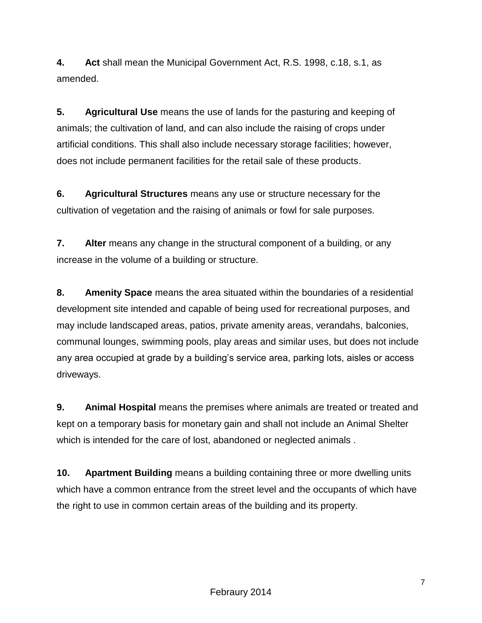**4. Act** shall mean the Municipal Government Act, R.S. 1998, c.18, s.1, as amended.

**5. Agricultural Use** means the use of lands for the pasturing and keeping of animals; the cultivation of land, and can also include the raising of crops under artificial conditions. This shall also include necessary storage facilities; however, does not include permanent facilities for the retail sale of these products.

**6. Agricultural Structures** means any use or structure necessary for the cultivation of vegetation and the raising of animals or fowl for sale purposes.

**7. Alter** means any change in the structural component of a building, or any increase in the volume of a building or structure.

**8. Amenity Space** means the area situated within the boundaries of a residential development site intended and capable of being used for recreational purposes, and may include landscaped areas, patios, private amenity areas, verandahs, balconies, communal lounges, swimming pools, play areas and similar uses, but does not include any area occupied at grade by a building's service area, parking lots, aisles or access driveways.

**9. Animal Hospital** means the premises where animals are treated or treated and kept on a temporary basis for monetary gain and shall not include an Animal Shelter which is intended for the care of lost, abandoned or neglected animals .

**10. Apartment Building** means a building containing three or more dwelling units which have a common entrance from the street level and the occupants of which have the right to use in common certain areas of the building and its property.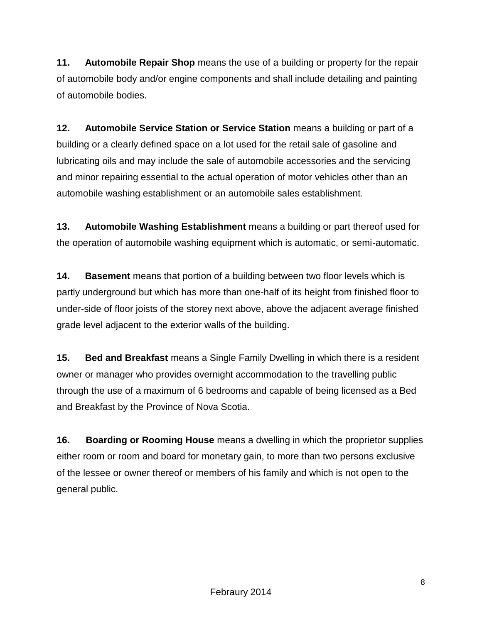**11. Automobile Repair Shop** means the use of a building or property for the repair of automobile body and/or engine components and shall include detailing and painting of automobile bodies.

**12. Automobile Service Station or Service Station** means a building or part of a building or a clearly defined space on a lot used for the retail sale of gasoline and lubricating oils and may include the sale of automobile accessories and the servicing and minor repairing essential to the actual operation of motor vehicles other than an automobile washing establishment or an automobile sales establishment.

**13. Automobile Washing Establishment** means a building or part thereof used for the operation of automobile washing equipment which is automatic, or semi-automatic.

**14. Basement** means that portion of a building between two floor levels which is partly underground but which has more than one-half of its height from finished floor to under-side of floor joists of the storey next above, above the adjacent average finished grade level adjacent to the exterior walls of the building.

**15. Bed and Breakfast** means a Single Family Dwelling in which there is a resident owner or manager who provides overnight accommodation to the travelling public through the use of a maximum of 6 bedrooms and capable of being licensed as a Bed and Breakfast by the Province of Nova Scotia.

**16. Boarding or Rooming House** means a dwelling in which the proprietor supplies either room or room and board for monetary gain, to more than two persons exclusive of the lessee or owner thereof or members of his family and which is not open to the general public.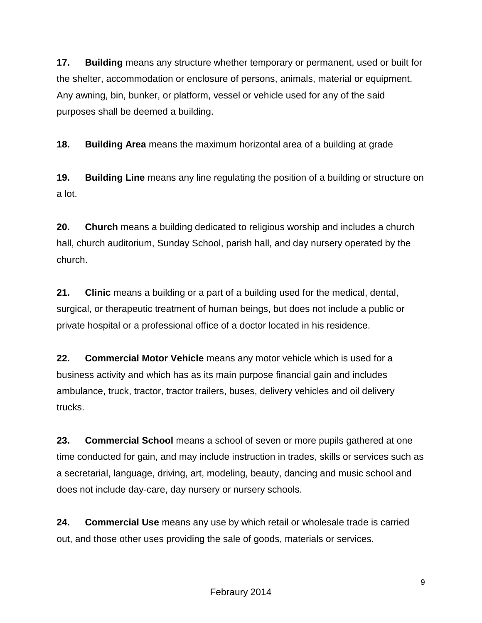**17. Building** means any structure whether temporary or permanent, used or built for the shelter, accommodation or enclosure of persons, animals, material or equipment. Any awning, bin, bunker, or platform, vessel or vehicle used for any of the said purposes shall be deemed a building.

**18. Building Area** means the maximum horizontal area of a building at grade

**19. Building Line** means any line regulating the position of a building or structure on a lot.

**20. Church** means a building dedicated to religious worship and includes a church hall, church auditorium, Sunday School, parish hall, and day nursery operated by the church.

**21. Clinic** means a building or a part of a building used for the medical, dental, surgical, or therapeutic treatment of human beings, but does not include a public or private hospital or a professional office of a doctor located in his residence.

**22. Commercial Motor Vehicle** means any motor vehicle which is used for a business activity and which has as its main purpose financial gain and includes ambulance, truck, tractor, tractor trailers, buses, delivery vehicles and oil delivery trucks.

**23. Commercial School** means a school of seven or more pupils gathered at one time conducted for gain, and may include instruction in trades, skills or services such as a secretarial, language, driving, art, modeling, beauty, dancing and music school and does not include day-care, day nursery or nursery schools.

**24. Commercial Use** means any use by which retail or wholesale trade is carried out, and those other uses providing the sale of goods, materials or services.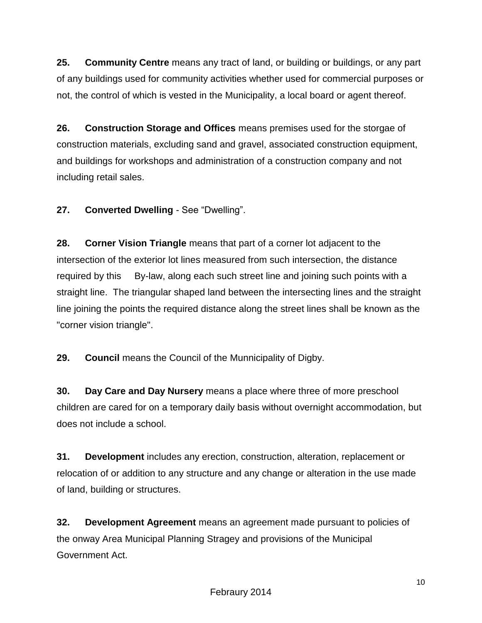**25. Community Centre** means any tract of land, or building or buildings, or any part of any buildings used for community activities whether used for commercial purposes or not, the control of which is vested in the Municipality, a local board or agent thereof.

**26. Construction Storage and Offices** means premises used for the storgae of construction materials, excluding sand and gravel, associated construction equipment, and buildings for workshops and administration of a construction company and not including retail sales.

**27. Converted Dwelling** - See "Dwelling".

**28. Corner Vision Triangle** means that part of a corner lot adjacent to the intersection of the exterior lot lines measured from such intersection, the distance required by this By-law, along each such street line and joining such points with a straight line. The triangular shaped land between the intersecting lines and the straight line joining the points the required distance along the street lines shall be known as the "corner vision triangle".

**29. Council** means the Council of the Munnicipality of Digby.

**30. Day Care and Day Nursery** means a place where three of more preschool children are cared for on a temporary daily basis without overnight accommodation, but does not include a school.

**31. Development** includes any erection, construction, alteration, replacement or relocation of or addition to any structure and any change or alteration in the use made of land, building or structures.

**32. Development Agreement** means an agreement made pursuant to policies of the onway Area Municipal Planning Stragey and provisions of the Municipal Government Act.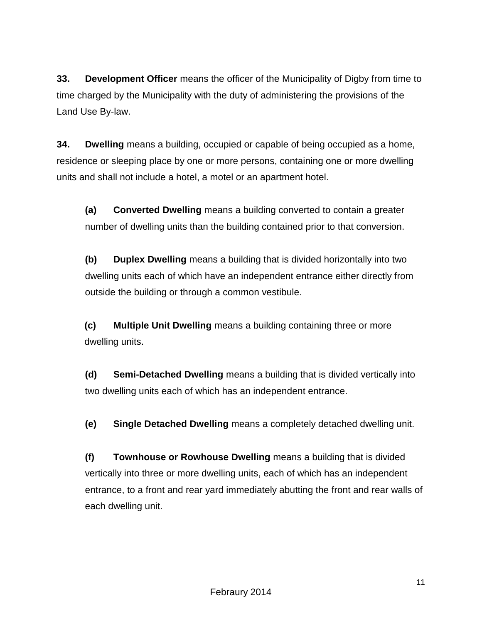**33. Development Officer** means the officer of the Municipality of Digby from time to time charged by the Municipality with the duty of administering the provisions of the Land Use By-law.

**34. Dwelling** means a building, occupied or capable of being occupied as a home, residence or sleeping place by one or more persons, containing one or more dwelling units and shall not include a hotel, a motel or an apartment hotel.

**(a) Converted Dwelling** means a building converted to contain a greater number of dwelling units than the building contained prior to that conversion.

**(b) Duplex Dwelling** means a building that is divided horizontally into two dwelling units each of which have an independent entrance either directly from outside the building or through a common vestibule.

**(c) Multiple Unit Dwelling** means a building containing three or more dwelling units.

**(d) Semi-Detached Dwelling** means a building that is divided vertically into two dwelling units each of which has an independent entrance.

**(e) Single Detached Dwelling** means a completely detached dwelling unit.

**(f) Townhouse or Rowhouse Dwelling** means a building that is divided vertically into three or more dwelling units, each of which has an independent entrance, to a front and rear yard immediately abutting the front and rear walls of each dwelling unit.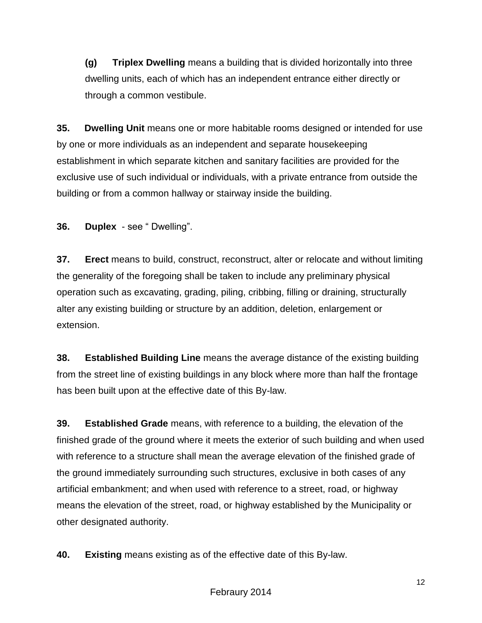**(g) Triplex Dwelling** means a building that is divided horizontally into three dwelling units, each of which has an independent entrance either directly or through a common vestibule.

**35. Dwelling Unit** means one or more habitable rooms designed or intended for use by one or more individuals as an independent and separate housekeeping establishment in which separate kitchen and sanitary facilities are provided for the exclusive use of such individual or individuals, with a private entrance from outside the building or from a common hallway or stairway inside the building.

**36. Duplex** - see " Dwelling".

**37. Erect** means to build, construct, reconstruct, alter or relocate and without limiting the generality of the foregoing shall be taken to include any preliminary physical operation such as excavating, grading, piling, cribbing, filling or draining, structurally alter any existing building or structure by an addition, deletion, enlargement or extension.

**38. Established Building Line** means the average distance of the existing building from the street line of existing buildings in any block where more than half the frontage has been built upon at the effective date of this By-law.

**39. Established Grade** means, with reference to a building, the elevation of the finished grade of the ground where it meets the exterior of such building and when used with reference to a structure shall mean the average elevation of the finished grade of the ground immediately surrounding such structures, exclusive in both cases of any artificial embankment; and when used with reference to a street, road, or highway means the elevation of the street, road, or highway established by the Municipality or other designated authority.

**40. Existing** means existing as of the effective date of this By-law.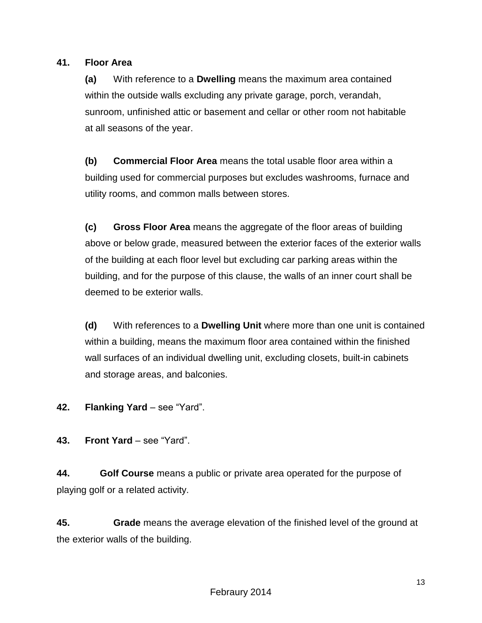## **41. Floor Area**

**(a)** With reference to a **Dwelling** means the maximum area contained within the outside walls excluding any private garage, porch, verandah, sunroom, unfinished attic or basement and cellar or other room not habitable at all seasons of the year.

**(b) Commercial Floor Area** means the total usable floor area within a building used for commercial purposes but excludes washrooms, furnace and utility rooms, and common malls between stores.

**(c) Gross Floor Area** means the aggregate of the floor areas of building above or below grade, measured between the exterior faces of the exterior walls of the building at each floor level but excluding car parking areas within the building, and for the purpose of this clause, the walls of an inner court shall be deemed to be exterior walls.

**(d)** With references to a **Dwelling Unit** where more than one unit is contained within a building, means the maximum floor area contained within the finished wall surfaces of an individual dwelling unit, excluding closets, built-in cabinets and storage areas, and balconies.

## **42. Flanking Yard** – see "Yard".

**43. Front Yard** – see "Yard".

**44. Golf Course** means a public or private area operated for the purpose of playing golf or a related activity.

**45. Grade** means the average elevation of the finished level of the ground at the exterior walls of the building.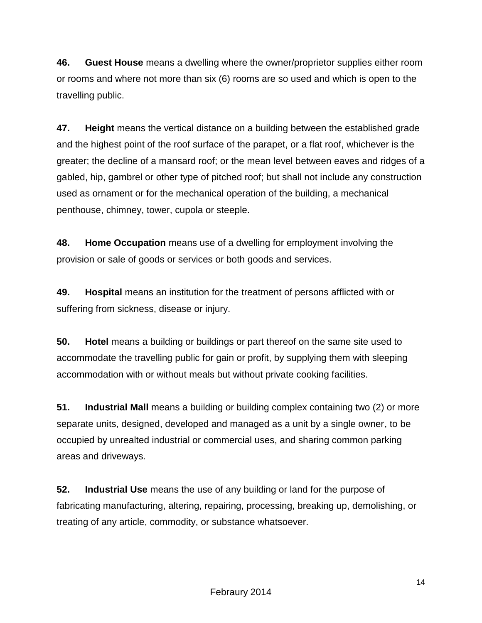**46. Guest House** means a dwelling where the owner/proprietor supplies either room or rooms and where not more than six (6) rooms are so used and which is open to the travelling public.

**47. Height** means the vertical distance on a building between the established grade and the highest point of the roof surface of the parapet, or a flat roof, whichever is the greater; the decline of a mansard roof; or the mean level between eaves and ridges of a gabled, hip, gambrel or other type of pitched roof; but shall not include any construction used as ornament or for the mechanical operation of the building, a mechanical penthouse, chimney, tower, cupola or steeple.

**48. Home Occupation** means use of a dwelling for employment involving the provision or sale of goods or services or both goods and services.

**49. Hospital** means an institution for the treatment of persons afflicted with or suffering from sickness, disease or injury.

**50. Hotel** means a building or buildings or part thereof on the same site used to accommodate the travelling public for gain or profit, by supplying them with sleeping accommodation with or without meals but without private cooking facilities.

**51. Industrial Mall** means a building or building complex containing two (2) or more separate units, designed, developed and managed as a unit by a single owner, to be occupied by unrealted industrial or commercial uses, and sharing common parking areas and driveways.

**52. Industrial Use** means the use of any building or land for the purpose of fabricating manufacturing, altering, repairing, processing, breaking up, demolishing, or treating of any article, commodity, or substance whatsoever.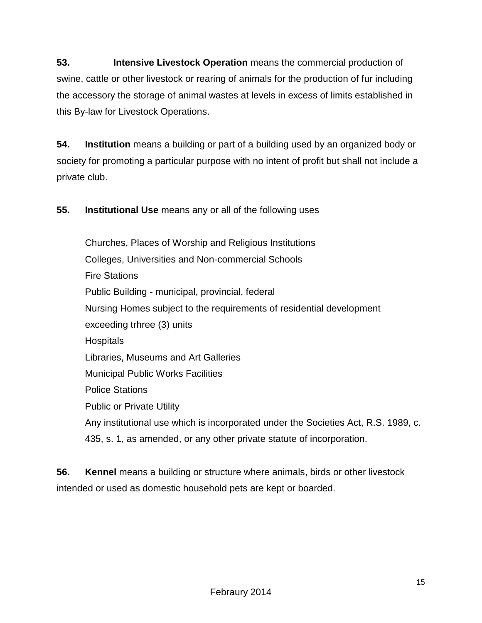**53. Intensive Livestock Operation** means the commercial production of swine, cattle or other livestock or rearing of animals for the production of fur including the accessory the storage of animal wastes at levels in excess of limits established in this By-law for Livestock Operations.

**54. Institution** means a building or part of a building used by an organized body or society for promoting a particular purpose with no intent of profit but shall not include a private club.

**55. Institutional Use** means any or all of the following uses

 Churches, Places of Worship and Religious Institutions Colleges, Universities and Non-commercial Schools Fire Stations Public Building - municipal, provincial, federal Nursing Homes subject to the requirements of residential development exceeding trhree (3) units **Hospitals**  Libraries, Museums and Art Galleries Municipal Public Works Facilities Police Stations Public or Private Utility Any institutional use which is incorporated under the Societies Act, R.S. 1989, c. 435, s. 1, as amended, or any other private statute of incorporation.

**56. Kennel** means a building or structure where animals, birds or other livestock intended or used as domestic household pets are kept or boarded.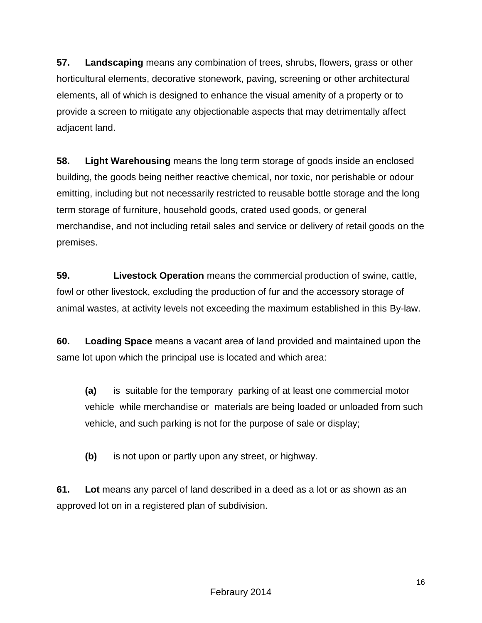**57. Landscaping** means any combination of trees, shrubs, flowers, grass or other horticultural elements, decorative stonework, paving, screening or other architectural elements, all of which is designed to enhance the visual amenity of a property or to provide a screen to mitigate any objectionable aspects that may detrimentally affect adjacent land.

**58. Light Warehousing** means the long term storage of goods inside an enclosed building, the goods being neither reactive chemical, nor toxic, nor perishable or odour emitting, including but not necessarily restricted to reusable bottle storage and the long term storage of furniture, household goods, crated used goods, or general merchandise, and not including retail sales and service or delivery of retail goods on the premises.

**59. Livestock Operation** means the commercial production of swine, cattle, fowl or other livestock, excluding the production of fur and the accessory storage of animal wastes, at activity levels not exceeding the maximum established in this By-law.

**60. Loading Space** means a vacant area of land provided and maintained upon the same lot upon which the principal use is located and which area:

**(a)** is suitable for the temporary parking of at least one commercial motor vehicle while merchandise or materials are being loaded or unloaded from such vehicle, and such parking is not for the purpose of sale or display;

**(b)** is not upon or partly upon any street, or highway.

**61. Lot** means any parcel of land described in a deed as a lot or as shown as an approved lot on in a registered plan of subdivision.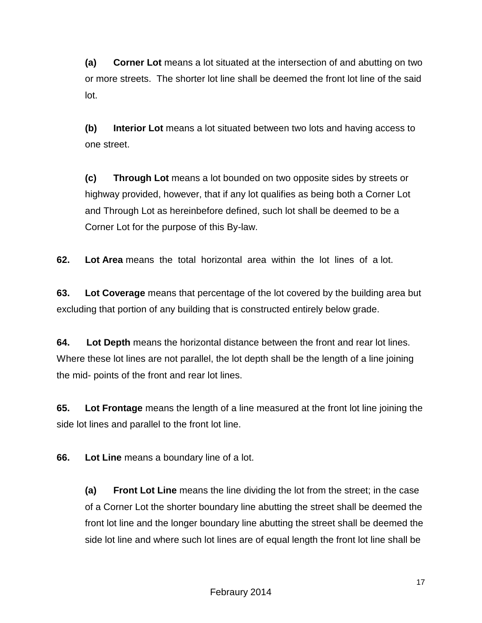**(a) Corner Lot** means a lot situated at the intersection of and abutting on two or more streets. The shorter lot line shall be deemed the front lot line of the said lot.

**(b) Interior Lot** means a lot situated between two lots and having access to one street.

**(c) Through Lot** means a lot bounded on two opposite sides by streets or highway provided, however, that if any lot qualifies as being both a Corner Lot and Through Lot as hereinbefore defined, such lot shall be deemed to be a Corner Lot for the purpose of this By-law.

**62. Lot Area** means the total horizontal area within the lot lines of a lot.

**63. Lot Coverage** means that percentage of the lot covered by the building area but excluding that portion of any building that is constructed entirely below grade.

**64. Lot Depth** means the horizontal distance between the front and rear lot lines. Where these lot lines are not parallel, the lot depth shall be the length of a line joining the mid- points of the front and rear lot lines.

**65. Lot Frontage** means the length of a line measured at the front lot line joining the side lot lines and parallel to the front lot line.

**66. Lot Line** means a boundary line of a lot.

**(a) Front Lot Line** means the line dividing the lot from the street; in the case of a Corner Lot the shorter boundary line abutting the street shall be deemed the front lot line and the longer boundary line abutting the street shall be deemed the side lot line and where such lot lines are of equal length the front lot line shall be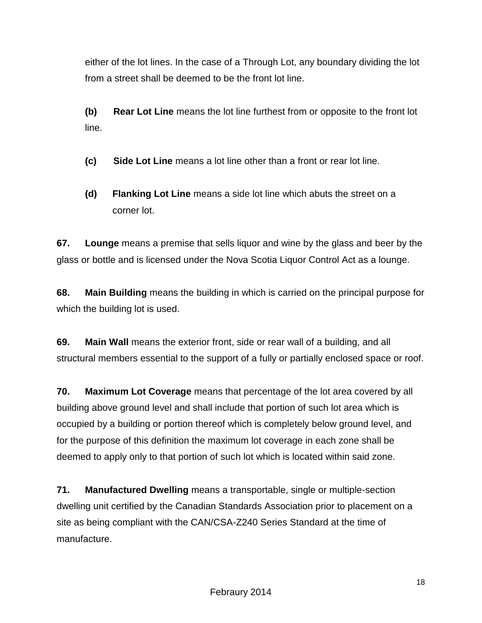either of the lot lines. In the case of a Through Lot, any boundary dividing the lot from a street shall be deemed to be the front lot line.

**(b) Rear Lot Line** means the lot line furthest from or opposite to the front lot line.

**(c) Side Lot Line** means a lot line other than a front or rear lot line.

**(d) Flanking Lot Line** means a side lot line which abuts the street on a corner lot.

**67. Lounge** means a premise that sells liquor and wine by the glass and beer by the glass or bottle and is licensed under the Nova Scotia Liquor Control Act as a lounge.

**68. Main Building** means the building in which is carried on the principal purpose for which the building lot is used.

**69. Main Wall** means the exterior front, side or rear wall of a building, and all structural members essential to the support of a fully or partially enclosed space or roof.

**70. Maximum Lot Coverage** means that percentage of the lot area covered by all building above ground level and shall include that portion of such lot area which is occupied by a building or portion thereof which is completely below ground level, and for the purpose of this definition the maximum lot coverage in each zone shall be deemed to apply only to that portion of such lot which is located within said zone.

**71. Manufactured Dwelling** means a transportable, single or multiple-section dwelling unit certified by the Canadian Standards Association prior to placement on a site as being compliant with the CAN/CSA-Z240 Series Standard at the time of manufacture.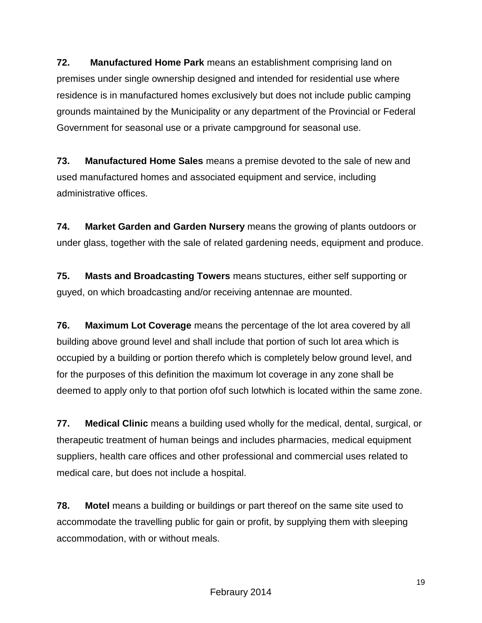**72. Manufactured Home Park** means an establishment comprising land on premises under single ownership designed and intended for residential use where residence is in manufactured homes exclusively but does not include public camping grounds maintained by the Municipality or any department of the Provincial or Federal Government for seasonal use or a private campground for seasonal use.

**73. Manufactured Home Sales** means a premise devoted to the sale of new and used manufactured homes and associated equipment and service, including administrative offices.

**74. Market Garden and Garden Nursery** means the growing of plants outdoors or under glass, together with the sale of related gardening needs, equipment and produce.

**75. Masts and Broadcasting Towers** means stuctures, either self supporting or guyed, on which broadcasting and/or receiving antennae are mounted.

**76. Maximum Lot Coverage** means the percentage of the lot area covered by all building above ground level and shall include that portion of such lot area which is occupied by a building or portion therefo which is completely below ground level, and for the purposes of this definition the maximum lot coverage in any zone shall be deemed to apply only to that portion ofof such lotwhich is located within the same zone.

**77. Medical Clinic** means a building used wholly for the medical, dental, surgical, or therapeutic treatment of human beings and includes pharmacies, medical equipment suppliers, health care offices and other professional and commercial uses related to medical care, but does not include a hospital.

**78. Motel** means a building or buildings or part thereof on the same site used to accommodate the travelling public for gain or profit, by supplying them with sleeping accommodation, with or without meals.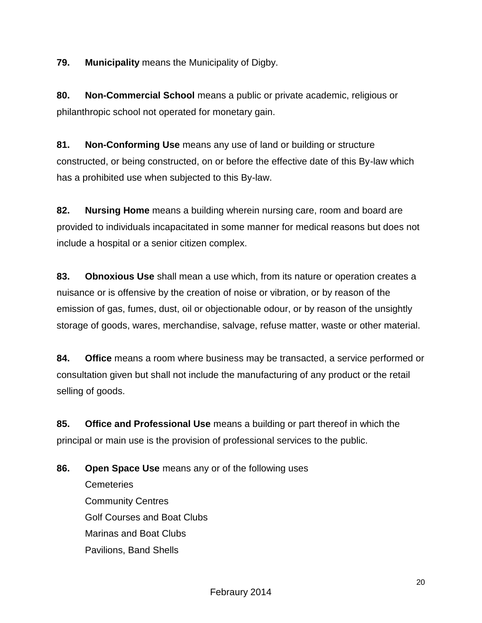**79. Municipality** means the Municipality of Digby.

**80. Non-Commercial School** means a public or private academic, religious or philanthropic school not operated for monetary gain.

**81. Non-Conforming Use** means any use of land or building or structure constructed, or being constructed, on or before the effective date of this By-law which has a prohibited use when subjected to this By-law.

**82. Nursing Home** means a building wherein nursing care, room and board are provided to individuals incapacitated in some manner for medical reasons but does not include a hospital or a senior citizen complex.

**83. Obnoxious Use** shall mean a use which, from its nature or operation creates a nuisance or is offensive by the creation of noise or vibration, or by reason of the emission of gas, fumes, dust, oil or objectionable odour, or by reason of the unsightly storage of goods, wares, merchandise, salvage, refuse matter, waste or other material.

**84. Office** means a room where business may be transacted, a service performed or consultation given but shall not include the manufacturing of any product or the retail selling of goods.

**85. Office and Professional Use** means a building or part thereof in which the principal or main use is the provision of professional services to the public.

**86. Open Space Use** means any or of the following uses **Cemeteries** Community Centres Golf Courses and Boat Clubs Marinas and Boat Clubs Pavilions, Band Shells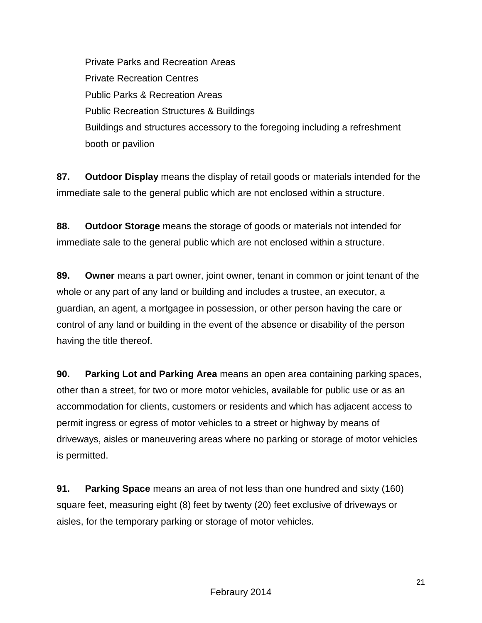Private Parks and Recreation Areas Private Recreation Centres Public Parks & Recreation Areas Public Recreation Structures & Buildings Buildings and structures accessory to the foregoing including a refreshment booth or pavilion

**87. Outdoor Display** means the display of retail goods or materials intended for the immediate sale to the general public which are not enclosed within a structure.

**88. Outdoor Storage** means the storage of goods or materials not intended for immediate sale to the general public which are not enclosed within a structure.

**89. Owner** means a part owner, joint owner, tenant in common or joint tenant of the whole or any part of any land or building and includes a trustee, an executor, a guardian, an agent, a mortgagee in possession, or other person having the care or control of any land or building in the event of the absence or disability of the person having the title thereof.

**90. Parking Lot and Parking Area** means an open area containing parking spaces, other than a street, for two or more motor vehicles, available for public use or as an accommodation for clients, customers or residents and which has adjacent access to permit ingress or egress of motor vehicles to a street or highway by means of driveways, aisles or maneuvering areas where no parking or storage of motor vehicles is permitted.

**91. Parking Space** means an area of not less than one hundred and sixty (160) square feet, measuring eight (8) feet by twenty (20) feet exclusive of driveways or aisles, for the temporary parking or storage of motor vehicles.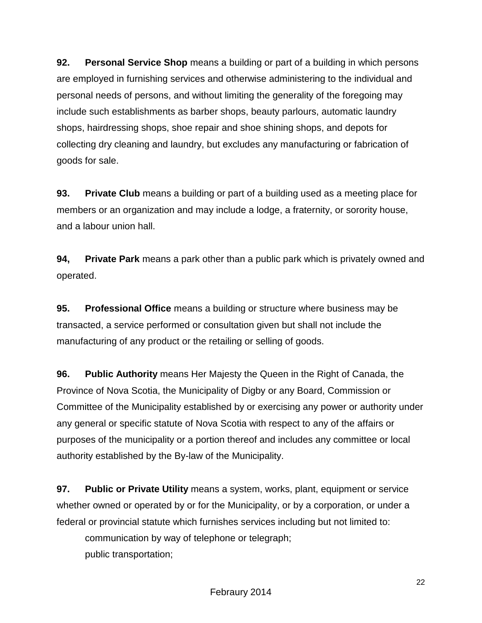**92. Personal Service Shop** means a building or part of a building in which persons are employed in furnishing services and otherwise administering to the individual and personal needs of persons, and without limiting the generality of the foregoing may include such establishments as barber shops, beauty parlours, automatic laundry shops, hairdressing shops, shoe repair and shoe shining shops, and depots for collecting dry cleaning and laundry, but excludes any manufacturing or fabrication of goods for sale.

**93. Private Club** means a building or part of a building used as a meeting place for members or an organization and may include a lodge, a fraternity, or sorority house, and a labour union hall.

**94, Private Park** means a park other than a public park which is privately owned and operated.

**95. Professional Office** means a building or structure where business may be transacted, a service performed or consultation given but shall not include the manufacturing of any product or the retailing or selling of goods.

**96. Public Authority** means Her Majesty the Queen in the Right of Canada, the Province of Nova Scotia, the Municipality of Digby or any Board, Commission or Committee of the Municipality established by or exercising any power or authority under any general or specific statute of Nova Scotia with respect to any of the affairs or purposes of the municipality or a portion thereof and includes any committee or local authority established by the By-law of the Municipality.

**97. Public or Private Utility** means a system, works, plant, equipment or service whether owned or operated by or for the Municipality, or by a corporation, or under a federal or provincial statute which furnishes services including but not limited to:

communication by way of telephone or telegraph; public transportation;

Febraury 2014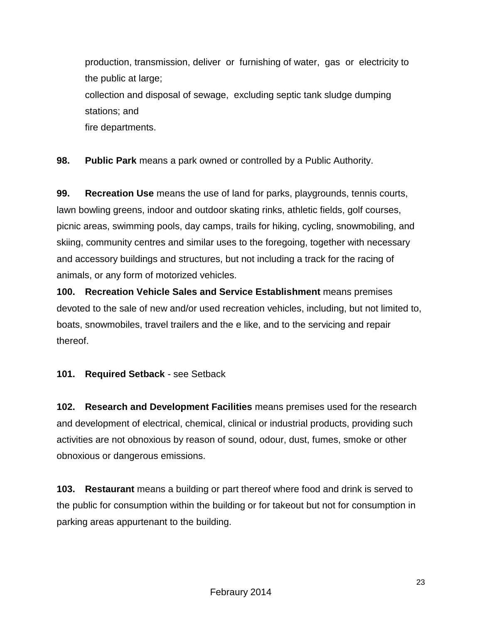production, transmission, deliver or furnishing of water, gas or electricity to the public at large; collection and disposal of sewage, excluding septic tank sludge dumping stations; and fire departments.

**98. Public Park** means a park owned or controlled by a Public Authority.

**99. Recreation Use** means the use of land for parks, playgrounds, tennis courts, lawn bowling greens, indoor and outdoor skating rinks, athletic fields, golf courses, picnic areas, swimming pools, day camps, trails for hiking, cycling, snowmobiling, and skiing, community centres and similar uses to the foregoing, together with necessary and accessory buildings and structures, but not including a track for the racing of animals, or any form of motorized vehicles.

**100. Recreation Vehicle Sales and Service Establishment** means premises devoted to the sale of new and/or used recreation vehicles, including, but not limited to, boats, snowmobiles, travel trailers and the e like, and to the servicing and repair thereof.

## **101. Required Setback** - see Setback

**102. Research and Development Facilities** means premises used for the research and development of electrical, chemical, clinical or industrial products, providing such activities are not obnoxious by reason of sound, odour, dust, fumes, smoke or other obnoxious or dangerous emissions.

**103. Restaurant** means a building or part thereof where food and drink is served to the public for consumption within the building or for takeout but not for consumption in parking areas appurtenant to the building.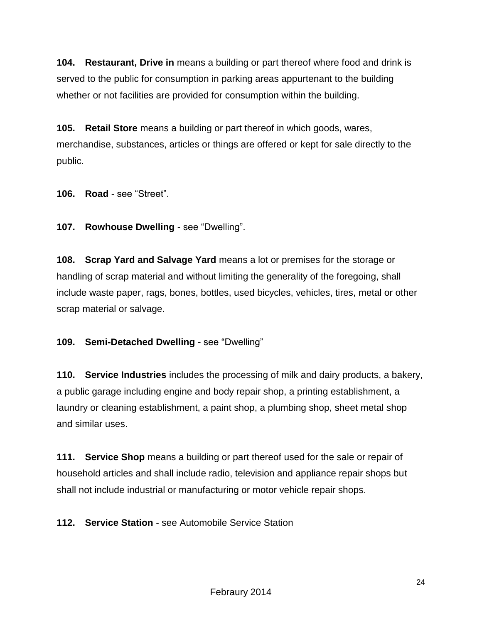**104. Restaurant, Drive in** means a building or part thereof where food and drink is served to the public for consumption in parking areas appurtenant to the building whether or not facilities are provided for consumption within the building.

**105. Retail Store** means a building or part thereof in which goods, wares, merchandise, substances, articles or things are offered or kept for sale directly to the public.

**106. Road** - see "Street".

**107. Rowhouse Dwelling** - see "Dwelling".

**108. Scrap Yard and Salvage Yard** means a lot or premises for the storage or handling of scrap material and without limiting the generality of the foregoing, shall include waste paper, rags, bones, bottles, used bicycles, vehicles, tires, metal or other scrap material or salvage.

**109. Semi-Detached Dwelling** - see "Dwelling"

**110. Service Industries** includes the processing of milk and dairy products, a bakery, a public garage including engine and body repair shop, a printing establishment, a laundry or cleaning establishment, a paint shop, a plumbing shop, sheet metal shop and similar uses.

**111. Service Shop** means a building or part thereof used for the sale or repair of household articles and shall include radio, television and appliance repair shops but shall not include industrial or manufacturing or motor vehicle repair shops.

**112. Service Station** - see Automobile Service Station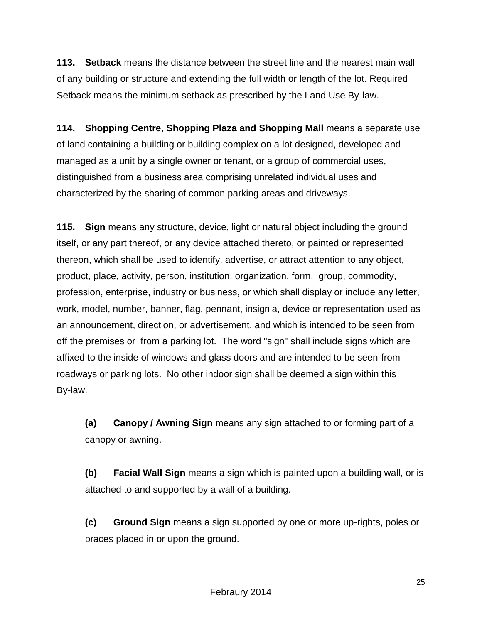**113. Setback** means the distance between the street line and the nearest main wall of any building or structure and extending the full width or length of the lot. Required Setback means the minimum setback as prescribed by the Land Use By-law.

**114. Shopping Centre**, **Shopping Plaza and Shopping Mall** means a separate use of land containing a building or building complex on a lot designed, developed and managed as a unit by a single owner or tenant, or a group of commercial uses, distinguished from a business area comprising unrelated individual uses and characterized by the sharing of common parking areas and driveways.

**115. Sign** means any structure, device, light or natural object including the ground itself, or any part thereof, or any device attached thereto, or painted or represented thereon, which shall be used to identify, advertise, or attract attention to any object, product, place, activity, person, institution, organization, form, group, commodity, profession, enterprise, industry or business, or which shall display or include any letter, work, model, number, banner, flag, pennant, insignia, device or representation used as an announcement, direction, or advertisement, and which is intended to be seen from off the premises or from a parking lot. The word "sign" shall include signs which are affixed to the inside of windows and glass doors and are intended to be seen from roadways or parking lots. No other indoor sign shall be deemed a sign within this By-law.

**(a) Canopy / Awning Sign** means any sign attached to or forming part of a canopy or awning.

**(b) Facial Wall Sign** means a sign which is painted upon a building wall, or is attached to and supported by a wall of a building.

**(c) Ground Sign** means a sign supported by one or more up-rights, poles or braces placed in or upon the ground.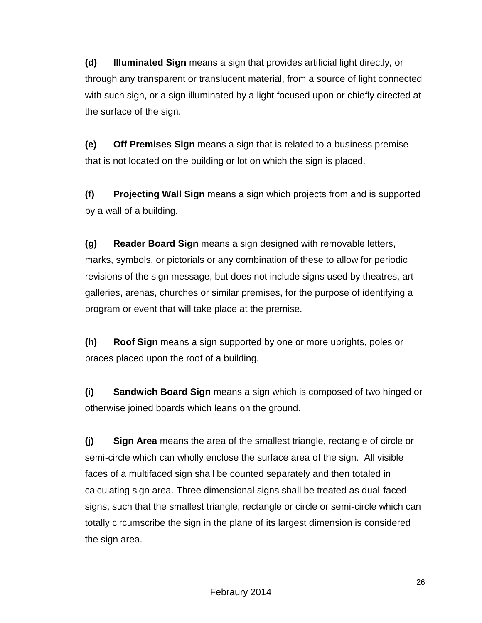**(d) Illuminated Sign** means a sign that provides artificial light directly, or through any transparent or translucent material, from a source of light connected with such sign, or a sign illuminated by a light focused upon or chiefly directed at the surface of the sign.

**(e) Off Premises Sign** means a sign that is related to a business premise that is not located on the building or lot on which the sign is placed.

**(f) Projecting Wall Sign** means a sign which projects from and is supported by a wall of a building.

**(g) Reader Board Sign** means a sign designed with removable letters, marks, symbols, or pictorials or any combination of these to allow for periodic revisions of the sign message, but does not include signs used by theatres, art galleries, arenas, churches or similar premises, for the purpose of identifying a program or event that will take place at the premise.

**(h) Roof Sign** means a sign supported by one or more uprights, poles or braces placed upon the roof of a building.

**(i) Sandwich Board Sign** means a sign which is composed of two hinged or otherwise joined boards which leans on the ground.

**(j) Sign Area** means the area of the smallest triangle, rectangle of circle or semi-circle which can wholly enclose the surface area of the sign. All visible faces of a multifaced sign shall be counted separately and then totaled in calculating sign area. Three dimensional signs shall be treated as dual-faced signs, such that the smallest triangle, rectangle or circle or semi-circle which can totally circumscribe the sign in the plane of its largest dimension is considered the sign area.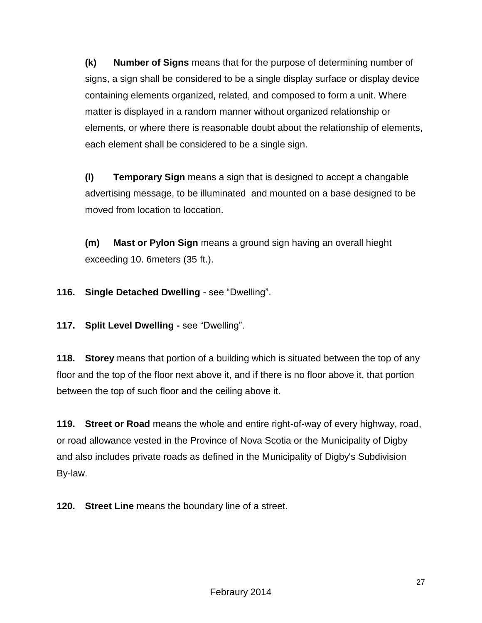**(k) Number of Signs** means that for the purpose of determining number of signs, a sign shall be considered to be a single display surface or display device containing elements organized, related, and composed to form a unit. Where matter is displayed in a random manner without organized relationship or elements, or where there is reasonable doubt about the relationship of elements, each element shall be considered to be a single sign.

**(l) Temporary Sign** means a sign that is designed to accept a changable advertising message, to be illuminated and mounted on a base designed to be moved from location to loccation.

**(m) Mast or Pylon Sign** means a ground sign having an overall hieght exceeding 10. 6meters (35 ft.).

**116. Single Detached Dwelling** - see "Dwelling".

**117. Split Level Dwelling -** see "Dwelling".

**118. Storey** means that portion of a building which is situated between the top of any floor and the top of the floor next above it, and if there is no floor above it, that portion between the top of such floor and the ceiling above it.

**119. Street or Road** means the whole and entire right-of-way of every highway, road, or road allowance vested in the Province of Nova Scotia or the Municipality of Digby and also includes private roads as defined in the Municipality of Digby's Subdivision By-law.

**120. Street Line** means the boundary line of a street.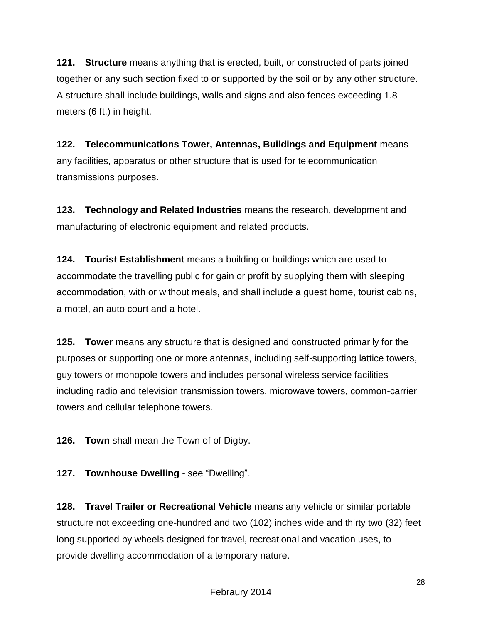**121. Structure** means anything that is erected, built, or constructed of parts joined together or any such section fixed to or supported by the soil or by any other structure. A structure shall include buildings, walls and signs and also fences exceeding 1.8 meters (6 ft.) in height.

**122. Telecommunications Tower, Antennas, Buildings and Equipment** means any facilities, apparatus or other structure that is used for telecommunication transmissions purposes.

**123. Technology and Related Industries** means the research, development and manufacturing of electronic equipment and related products.

**124. Tourist Establishment** means a building or buildings which are used to accommodate the travelling public for gain or profit by supplying them with sleeping accommodation, with or without meals, and shall include a guest home, tourist cabins, a motel, an auto court and a hotel.

**125. Tower** means any structure that is designed and constructed primarily for the purposes or supporting one or more antennas, including self-supporting lattice towers, guy towers or monopole towers and includes personal wireless service facilities including radio and television transmission towers, microwave towers, common-carrier towers and cellular telephone towers.

**126. Town** shall mean the Town of of Digby.

**127. Townhouse Dwelling** - see "Dwelling".

**128. Travel Trailer or Recreational Vehicle** means any vehicle or similar portable structure not exceeding one-hundred and two (102) inches wide and thirty two (32) feet long supported by wheels designed for travel, recreational and vacation uses, to provide dwelling accommodation of a temporary nature.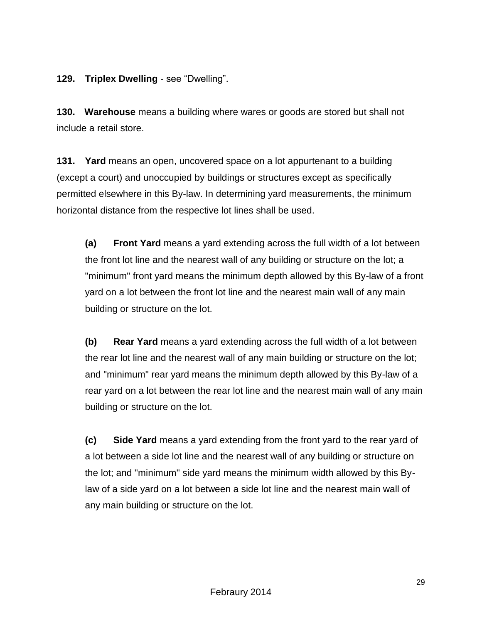**129. Triplex Dwelling** - see "Dwelling".

**130. Warehouse** means a building where wares or goods are stored but shall not include a retail store.

**131. Yard** means an open, uncovered space on a lot appurtenant to a building (except a court) and unoccupied by buildings or structures except as specifically permitted elsewhere in this By-law. In determining yard measurements, the minimum horizontal distance from the respective lot lines shall be used.

**(a) Front Yard** means a yard extending across the full width of a lot between the front lot line and the nearest wall of any building or structure on the lot; a "minimum" front yard means the minimum depth allowed by this By-law of a front yard on a lot between the front lot line and the nearest main wall of any main building or structure on the lot.

**(b) Rear Yard** means a yard extending across the full width of a lot between the rear lot line and the nearest wall of any main building or structure on the lot; and "minimum" rear yard means the minimum depth allowed by this By-law of a rear yard on a lot between the rear lot line and the nearest main wall of any main building or structure on the lot.

**(c) Side Yard** means a yard extending from the front yard to the rear yard of a lot between a side lot line and the nearest wall of any building or structure on the lot; and "minimum" side yard means the minimum width allowed by this Bylaw of a side yard on a lot between a side lot line and the nearest main wall of any main building or structure on the lot.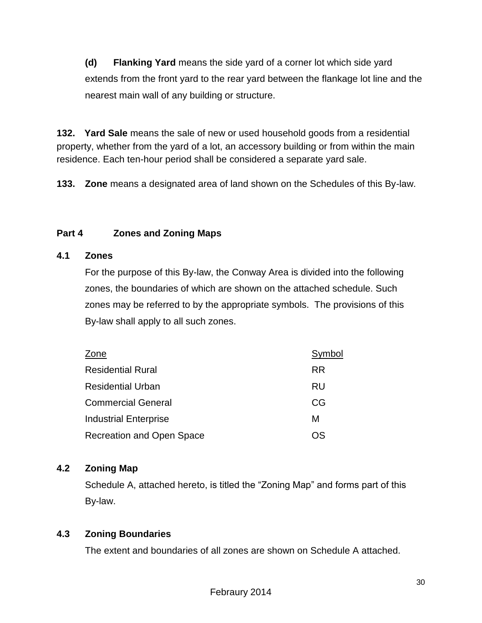**(d) Flanking Yard** means the side yard of a corner lot which side yard extends from the front yard to the rear yard between the flankage lot line and the nearest main wall of any building or structure.

**132. Yard Sale** means the sale of new or used household goods from a residential property, whether from the yard of a lot, an accessory building or from within the main residence. Each ten-hour period shall be considered a separate yard sale.

**133. Zone** means a designated area of land shown on the Schedules of this By-law.

## **Part 4 Zones and Zoning Maps**

## **4.1 Zones**

For the purpose of this By-law, the Conway Area is divided into the following zones, the boundaries of which are shown on the attached schedule. Such zones may be referred to by the appropriate symbols. The provisions of this By-law shall apply to all such zones.

| Zone                             | Symbol    |
|----------------------------------|-----------|
| <b>Residential Rural</b>         | <b>RR</b> |
| <b>Residential Urban</b>         | RU        |
| <b>Commercial General</b>        | CG        |
| <b>Industrial Enterprise</b>     | М         |
| <b>Recreation and Open Space</b> | 75        |

## **4.2 Zoning Map**

Schedule A, attached hereto, is titled the "Zoning Map" and forms part of this By-law.

## **4.3 Zoning Boundaries**

The extent and boundaries of all zones are shown on Schedule A attached.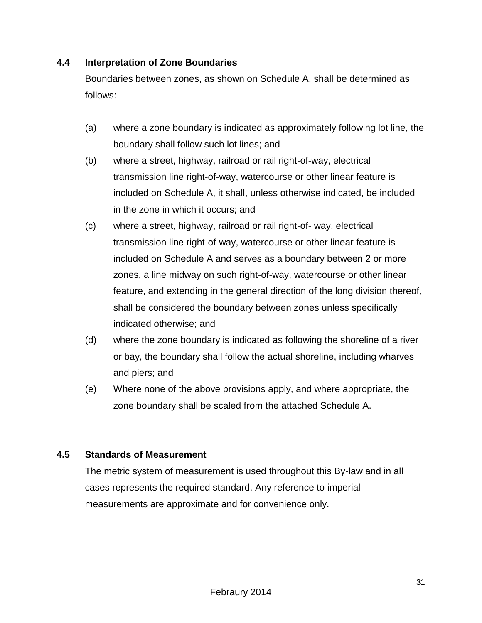#### **4.4 Interpretation of Zone Boundaries**

Boundaries between zones, as shown on Schedule A, shall be determined as follows:

- (a) where a zone boundary is indicated as approximately following lot line, the boundary shall follow such lot lines; and
- (b) where a street, highway, railroad or rail right-of-way, electrical transmission line right-of-way, watercourse or other linear feature is included on Schedule A, it shall, unless otherwise indicated, be included in the zone in which it occurs; and
- (c) where a street, highway, railroad or rail right-of- way, electrical transmission line right-of-way, watercourse or other linear feature is included on Schedule A and serves as a boundary between 2 or more zones, a line midway on such right-of-way, watercourse or other linear feature, and extending in the general direction of the long division thereof, shall be considered the boundary between zones unless specifically indicated otherwise; and
- (d) where the zone boundary is indicated as following the shoreline of a river or bay, the boundary shall follow the actual shoreline, including wharves and piers; and
- (e) Where none of the above provisions apply, and where appropriate, the zone boundary shall be scaled from the attached Schedule A.

#### **4.5 Standards of Measurement**

The metric system of measurement is used throughout this By-law and in all cases represents the required standard. Any reference to imperial measurements are approximate and for convenience only.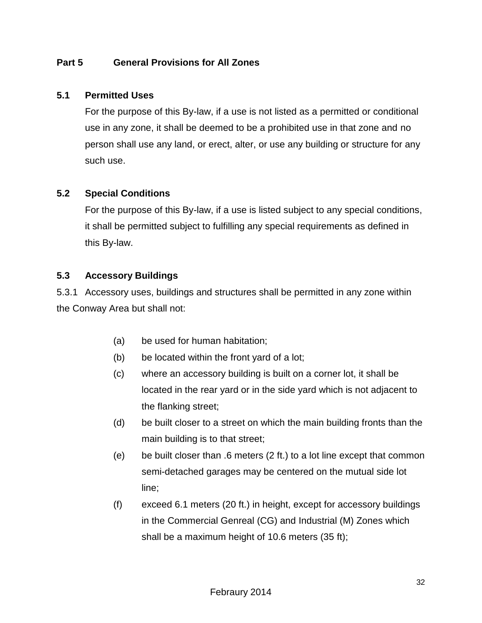## **Part 5 General Provisions for All Zones**

#### **5.1 Permitted Uses**

For the purpose of this By-law, if a use is not listed as a permitted or conditional use in any zone, it shall be deemed to be a prohibited use in that zone and no person shall use any land, or erect, alter, or use any building or structure for any such use.

#### **5.2 Special Conditions**

For the purpose of this By-law, if a use is listed subject to any special conditions, it shall be permitted subject to fulfilling any special requirements as defined in this By-law.

#### **5.3 Accessory Buildings**

5.3.1 Accessory uses, buildings and structures shall be permitted in any zone within the Conway Area but shall not:

- (a) be used for human habitation;
- (b) be located within the front yard of a lot;
- (c) where an accessory building is built on a corner lot, it shall be located in the rear yard or in the side yard which is not adjacent to the flanking street;
- (d) be built closer to a street on which the main building fronts than the main building is to that street;
- (e) be built closer than .6 meters (2 ft.) to a lot line except that common semi-detached garages may be centered on the mutual side lot line;
- (f) exceed 6.1 meters (20 ft.) in height, except for accessory buildings in the Commercial Genreal (CG) and Industrial (M) Zones which shall be a maximum height of 10.6 meters (35 ft);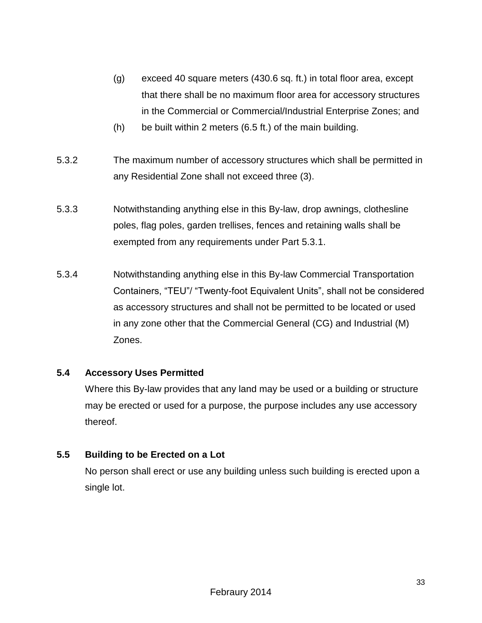- (g) exceed 40 square meters (430.6 sq. ft.) in total floor area, except that there shall be no maximum floor area for accessory structures in the Commercial or Commercial/Industrial Enterprise Zones; and
- (h) be built within 2 meters (6.5 ft.) of the main building.
- 5.3.2 The maximum number of accessory structures which shall be permitted in any Residential Zone shall not exceed three (3).
- 5.3.3 Notwithstanding anything else in this By-law, drop awnings, clothesline poles, flag poles, garden trellises, fences and retaining walls shall be exempted from any requirements under Part 5.3.1.
- 5.3.4 Notwithstanding anything else in this By-law Commercial Transportation Containers, "TEU"/ "Twenty-foot Equivalent Units", shall not be considered as accessory structures and shall not be permitted to be located or used in any zone other that the Commercial General (CG) and Industrial (M) Zones.

## **5.4 Accessory Uses Permitted**

Where this By-law provides that any land may be used or a building or structure may be erected or used for a purpose, the purpose includes any use accessory thereof.

## **5.5 Building to be Erected on a Lot**

No person shall erect or use any building unless such building is erected upon a single lot.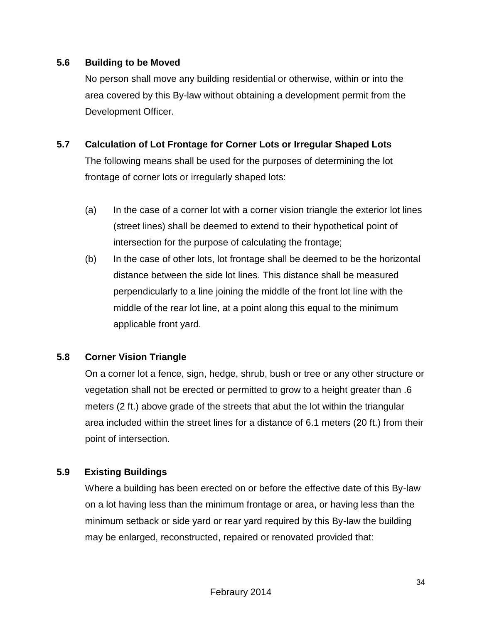#### **5.6 Building to be Moved**

No person shall move any building residential or otherwise, within or into the area covered by this By-law without obtaining a development permit from the Development Officer.

## **5.7 Calculation of Lot Frontage for Corner Lots or Irregular Shaped Lots**

The following means shall be used for the purposes of determining the lot frontage of corner lots or irregularly shaped lots:

- (a) In the case of a corner lot with a corner vision triangle the exterior lot lines (street lines) shall be deemed to extend to their hypothetical point of intersection for the purpose of calculating the frontage;
- (b) In the case of other lots, lot frontage shall be deemed to be the horizontal distance between the side lot lines. This distance shall be measured perpendicularly to a line joining the middle of the front lot line with the middle of the rear lot line, at a point along this equal to the minimum applicable front yard.

## **5.8 Corner Vision Triangle**

On a corner lot a fence, sign, hedge, shrub, bush or tree or any other structure or vegetation shall not be erected or permitted to grow to a height greater than .6 meters (2 ft.) above grade of the streets that abut the lot within the triangular area included within the street lines for a distance of 6.1 meters (20 ft.) from their point of intersection.

## **5.9 Existing Buildings**

Where a building has been erected on or before the effective date of this By-law on a lot having less than the minimum frontage or area, or having less than the minimum setback or side yard or rear yard required by this By-law the building may be enlarged, reconstructed, repaired or renovated provided that: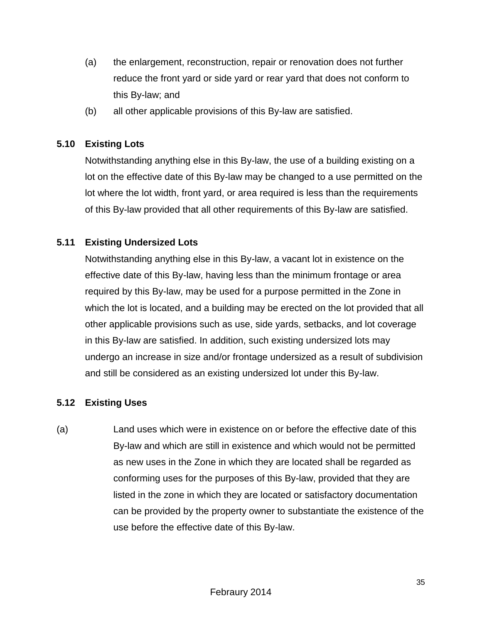- (a) the enlargement, reconstruction, repair or renovation does not further reduce the front yard or side yard or rear yard that does not conform to this By-law; and
- (b) all other applicable provisions of this By-law are satisfied.

## **5.10 Existing Lots**

Notwithstanding anything else in this By-law, the use of a building existing on a lot on the effective date of this By-law may be changed to a use permitted on the lot where the lot width, front yard, or area required is less than the requirements of this By-law provided that all other requirements of this By-law are satisfied.

## **5.11 Existing Undersized Lots**

Notwithstanding anything else in this By-law, a vacant lot in existence on the effective date of this By-law, having less than the minimum frontage or area required by this By-law, may be used for a purpose permitted in the Zone in which the lot is located, and a building may be erected on the lot provided that all other applicable provisions such as use, side yards, setbacks, and lot coverage in this By-law are satisfied. In addition, such existing undersized lots may undergo an increase in size and/or frontage undersized as a result of subdivision and still be considered as an existing undersized lot under this By-law.

## **5.12 Existing Uses**

(a) Land uses which were in existence on or before the effective date of this By-law and which are still in existence and which would not be permitted as new uses in the Zone in which they are located shall be regarded as conforming uses for the purposes of this By-law, provided that they are listed in the zone in which they are located or satisfactory documentation can be provided by the property owner to substantiate the existence of the use before the effective date of this By-law.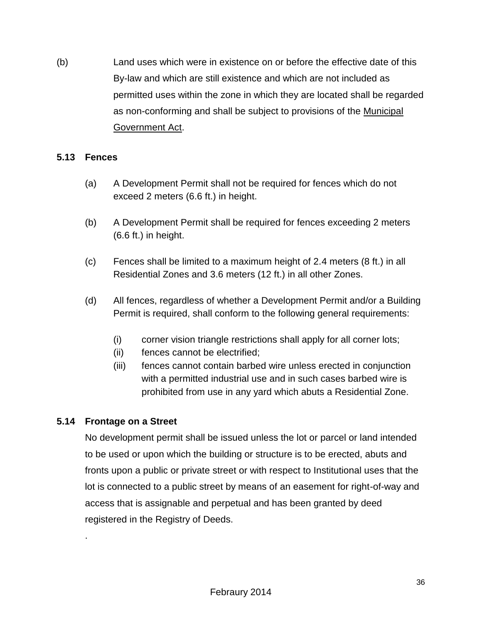(b) Land uses which were in existence on or before the effective date of this By-law and which are still existence and which are not included as permitted uses within the zone in which they are located shall be regarded as non-conforming and shall be subject to provisions of the Municipal Government Act.

## **5.13 Fences**

- (a) A Development Permit shall not be required for fences which do not exceed 2 meters (6.6 ft.) in height.
- (b) A Development Permit shall be required for fences exceeding 2 meters (6.6 ft.) in height.
- (c) Fences shall be limited to a maximum height of 2.4 meters (8 ft.) in all Residential Zones and 3.6 meters (12 ft.) in all other Zones.
- (d) All fences, regardless of whether a Development Permit and/or a Building Permit is required, shall conform to the following general requirements:
	- (i) corner vision triangle restrictions shall apply for all corner lots;
	- (ii) fences cannot be electrified;
	- (iii) fences cannot contain barbed wire unless erected in conjunction with a permitted industrial use and in such cases barbed wire is prohibited from use in any yard which abuts a Residential Zone.

## **5.14 Frontage on a Street**

.

No development permit shall be issued unless the lot or parcel or land intended to be used or upon which the building or structure is to be erected, abuts and fronts upon a public or private street or with respect to Institutional uses that the lot is connected to a public street by means of an easement for right-of-way and access that is assignable and perpetual and has been granted by deed registered in the Registry of Deeds.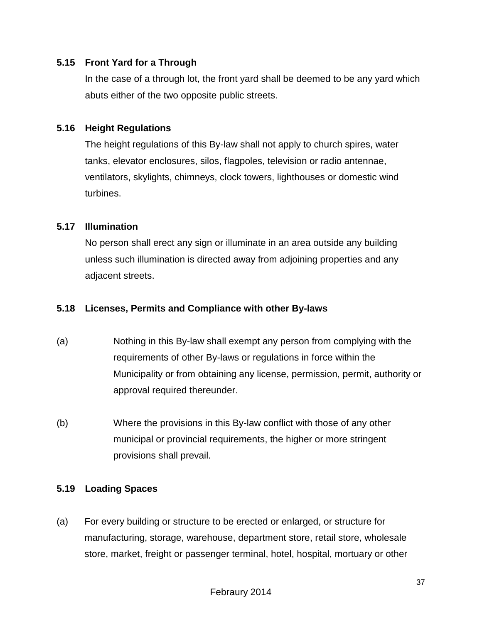#### **5.15 Front Yard for a Through**

In the case of a through lot, the front yard shall be deemed to be any yard which abuts either of the two opposite public streets.

#### **5.16 Height Regulations**

The height regulations of this By-law shall not apply to church spires, water tanks, elevator enclosures, silos, flagpoles, television or radio antennae, ventilators, skylights, chimneys, clock towers, lighthouses or domestic wind turbines.

#### **5.17 Illumination**

No person shall erect any sign or illuminate in an area outside any building unless such illumination is directed away from adjoining properties and any adjacent streets.

#### **5.18 Licenses, Permits and Compliance with other By-laws**

- (a) Nothing in this By-law shall exempt any person from complying with the requirements of other By-laws or regulations in force within the Municipality or from obtaining any license, permission, permit, authority or approval required thereunder.
- (b) Where the provisions in this By-law conflict with those of any other municipal or provincial requirements, the higher or more stringent provisions shall prevail.

## **5.19 Loading Spaces**

(a) For every building or structure to be erected or enlarged, or structure for manufacturing, storage, warehouse, department store, retail store, wholesale store, market, freight or passenger terminal, hotel, hospital, mortuary or other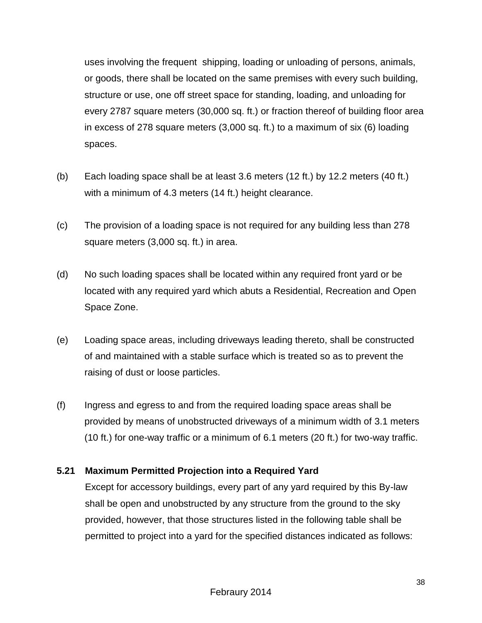uses involving the frequent shipping, loading or unloading of persons, animals, or goods, there shall be located on the same premises with every such building, structure or use, one off street space for standing, loading, and unloading for every 2787 square meters (30,000 sq. ft.) or fraction thereof of building floor area in excess of 278 square meters (3,000 sq. ft.) to a maximum of six (6) loading spaces.

- (b) Each loading space shall be at least 3.6 meters (12 ft.) by 12.2 meters (40 ft.) with a minimum of 4.3 meters (14 ft.) height clearance.
- (c) The provision of a loading space is not required for any building less than 278 square meters (3,000 sq. ft.) in area.
- (d) No such loading spaces shall be located within any required front yard or be located with any required yard which abuts a Residential, Recreation and Open Space Zone.
- (e) Loading space areas, including driveways leading thereto, shall be constructed of and maintained with a stable surface which is treated so as to prevent the raising of dust or loose particles.
- (f) Ingress and egress to and from the required loading space areas shall be provided by means of unobstructed driveways of a minimum width of 3.1 meters (10 ft.) for one-way traffic or a minimum of 6.1 meters (20 ft.) for two-way traffic.

## **5.21 Maximum Permitted Projection into a Required Yard**

Except for accessory buildings, every part of any yard required by this By-law shall be open and unobstructed by any structure from the ground to the sky provided, however, that those structures listed in the following table shall be permitted to project into a yard for the specified distances indicated as follows: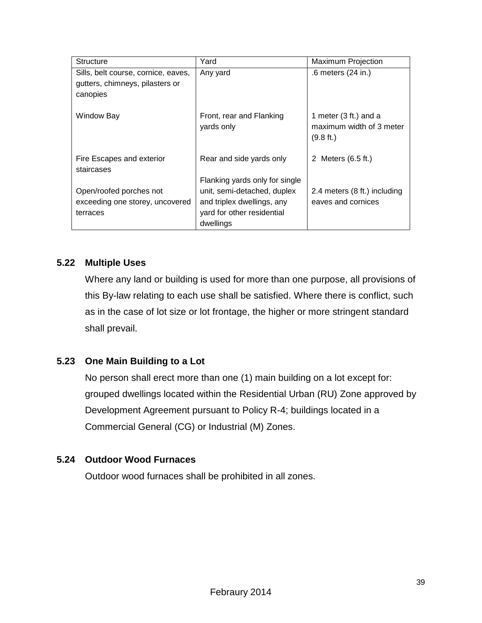| <b>Structure</b>                        | Yard                                   | <b>Maximum Projection</b>                                                  |
|-----------------------------------------|----------------------------------------|----------------------------------------------------------------------------|
| Sills, belt course, cornice, eaves,     | Any yard                               | .6 meters (24 in.)                                                         |
| gutters, chimneys, pilasters or         |                                        |                                                                            |
| canopies                                |                                        |                                                                            |
|                                         |                                        |                                                                            |
| Window Bay                              | Front, rear and Flanking<br>yards only | 1 meter $(3 ft.)$ and a<br>maximum width of 3 meter<br>$(9.8 \text{ ft.})$ |
| Fire Escapes and exterior<br>staircases | Rear and side yards only               | 2 Meters (6.5 ft.)                                                         |
|                                         | Flanking yards only for single         |                                                                            |
| Open/roofed porches not                 | unit, semi-detached, duplex            | 2.4 meters (8 ft.) including                                               |
| exceeding one storey, uncovered         | and triplex dwellings, any             | eaves and cornices                                                         |
| terraces                                | yard for other residential             |                                                                            |
|                                         | dwellings                              |                                                                            |

## **5.22 Multiple Uses**

Where any land or building is used for more than one purpose, all provisions of this By-law relating to each use shall be satisfied. Where there is conflict, such as in the case of lot size or lot frontage, the higher or more stringent standard shall prevail.

## **5.23 One Main Building to a Lot**

No person shall erect more than one (1) main building on a lot except for: grouped dwellings located within the Residential Urban (RU) Zone approved by Development Agreement pursuant to Policy R-4; buildings located in a Commercial General (CG) or Industrial (M) Zones.

## **5.24 Outdoor Wood Furnaces**

Outdoor wood furnaces shall be prohibited in all zones.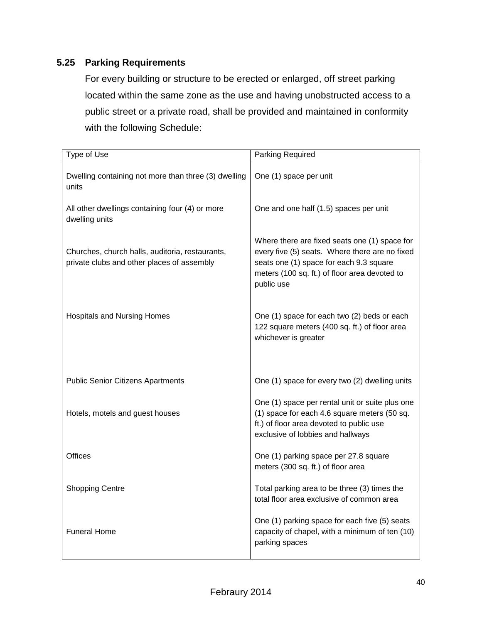## **5.25 Parking Requirements**

For every building or structure to be erected or enlarged, off street parking located within the same zone as the use and having unobstructed access to a public street or a private road, shall be provided and maintained in conformity with the following Schedule:

| Type of Use                                                                                   | Parking Required                                                                                                                                                                                          |
|-----------------------------------------------------------------------------------------------|-----------------------------------------------------------------------------------------------------------------------------------------------------------------------------------------------------------|
| Dwelling containing not more than three (3) dwelling<br>units                                 | One (1) space per unit                                                                                                                                                                                    |
| All other dwellings containing four (4) or more<br>dwelling units                             | One and one half (1.5) spaces per unit                                                                                                                                                                    |
| Churches, church halls, auditoria, restaurants,<br>private clubs and other places of assembly | Where there are fixed seats one (1) space for<br>every five (5) seats. Where there are no fixed<br>seats one (1) space for each 9.3 square<br>meters (100 sq. ft.) of floor area devoted to<br>public use |
| <b>Hospitals and Nursing Homes</b>                                                            | One (1) space for each two (2) beds or each<br>122 square meters (400 sq. ft.) of floor area<br>whichever is greater                                                                                      |
| <b>Public Senior Citizens Apartments</b>                                                      | One (1) space for every two (2) dwelling units                                                                                                                                                            |
| Hotels, motels and guest houses                                                               | One (1) space per rental unit or suite plus one<br>(1) space for each 4.6 square meters (50 sq.<br>ft.) of floor area devoted to public use<br>exclusive of lobbies and hallways                          |
| <b>Offices</b>                                                                                | One (1) parking space per 27.8 square<br>meters (300 sq. ft.) of floor area                                                                                                                               |
| <b>Shopping Centre</b>                                                                        | Total parking area to be three (3) times the<br>total floor area exclusive of common area                                                                                                                 |
| <b>Funeral Home</b>                                                                           | One (1) parking space for each five (5) seats<br>capacity of chapel, with a minimum of ten (10)<br>parking spaces                                                                                         |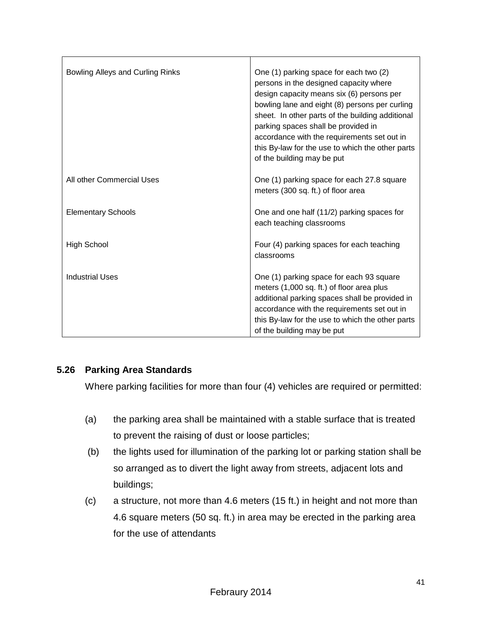| Bowling Alleys and Curling Rinks | One (1) parking space for each two (2)<br>persons in the designed capacity where<br>design capacity means six (6) persons per<br>bowling lane and eight (8) persons per curling<br>sheet. In other parts of the building additional<br>parking spaces shall be provided in<br>accordance with the requirements set out in<br>this By-law for the use to which the other parts<br>of the building may be put |
|----------------------------------|-------------------------------------------------------------------------------------------------------------------------------------------------------------------------------------------------------------------------------------------------------------------------------------------------------------------------------------------------------------------------------------------------------------|
| All other Commercial Uses        | One (1) parking space for each 27.8 square<br>meters (300 sq. ft.) of floor area                                                                                                                                                                                                                                                                                                                            |
| <b>Elementary Schools</b>        | One and one half (11/2) parking spaces for<br>each teaching classrooms                                                                                                                                                                                                                                                                                                                                      |
| <b>High School</b>               | Four (4) parking spaces for each teaching<br>classrooms                                                                                                                                                                                                                                                                                                                                                     |
| <b>Industrial Uses</b>           | One (1) parking space for each 93 square<br>meters (1,000 sq. ft.) of floor area plus<br>additional parking spaces shall be provided in<br>accordance with the requirements set out in<br>this By-law for the use to which the other parts<br>of the building may be put                                                                                                                                    |

## **5.26 Parking Area Standards**

Where parking facilities for more than four (4) vehicles are required or permitted:

- (a) the parking area shall be maintained with a stable surface that is treated to prevent the raising of dust or loose particles;
- (b) the lights used for illumination of the parking lot or parking station shall be so arranged as to divert the light away from streets, adjacent lots and buildings;
- (c) a structure, not more than 4.6 meters (15 ft.) in height and not more than 4.6 square meters (50 sq. ft.) in area may be erected in the parking area for the use of attendants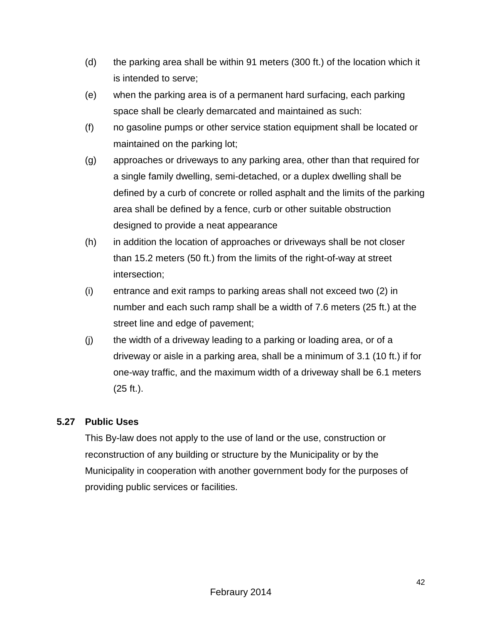- (d) the parking area shall be within 91 meters (300 ft.) of the location which it is intended to serve;
- (e) when the parking area is of a permanent hard surfacing, each parking space shall be clearly demarcated and maintained as such:
- (f) no gasoline pumps or other service station equipment shall be located or maintained on the parking lot;
- (g) approaches or driveways to any parking area, other than that required for a single family dwelling, semi-detached, or a duplex dwelling shall be defined by a curb of concrete or rolled asphalt and the limits of the parking area shall be defined by a fence, curb or other suitable obstruction designed to provide a neat appearance
- (h) in addition the location of approaches or driveways shall be not closer than 15.2 meters (50 ft.) from the limits of the right-of-way at street intersection;
- (i) entrance and exit ramps to parking areas shall not exceed two (2) in number and each such ramp shall be a width of 7.6 meters (25 ft.) at the street line and edge of pavement;
- (j) the width of a driveway leading to a parking or loading area, or of a driveway or aisle in a parking area, shall be a minimum of 3.1 (10 ft.) if for one-way traffic, and the maximum width of a driveway shall be 6.1 meters (25 ft.).

## **5.27 Public Uses**

This By-law does not apply to the use of land or the use, construction or reconstruction of any building or structure by the Municipality or by the Municipality in cooperation with another government body for the purposes of providing public services or facilities.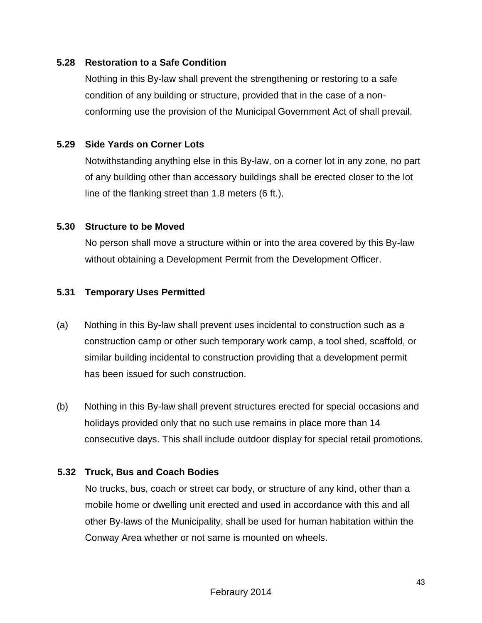#### **5.28 Restoration to a Safe Condition**

Nothing in this By-law shall prevent the strengthening or restoring to a safe condition of any building or structure, provided that in the case of a nonconforming use the provision of the Municipal Government Act of shall prevail.

#### **5.29 Side Yards on Corner Lots**

Notwithstanding anything else in this By-law, on a corner lot in any zone, no part of any building other than accessory buildings shall be erected closer to the lot line of the flanking street than 1.8 meters (6 ft.).

#### **5.30 Structure to be Moved**

No person shall move a structure within or into the area covered by this By-law without obtaining a Development Permit from the Development Officer.

## **5.31 Temporary Uses Permitted**

- (a) Nothing in this By-law shall prevent uses incidental to construction such as a construction camp or other such temporary work camp, a tool shed, scaffold, or similar building incidental to construction providing that a development permit has been issued for such construction.
- (b) Nothing in this By-law shall prevent structures erected for special occasions and holidays provided only that no such use remains in place more than 14 consecutive days. This shall include outdoor display for special retail promotions.

## **5.32 Truck, Bus and Coach Bodies**

No trucks, bus, coach or street car body, or structure of any kind, other than a mobile home or dwelling unit erected and used in accordance with this and all other By-laws of the Municipality, shall be used for human habitation within the Conway Area whether or not same is mounted on wheels.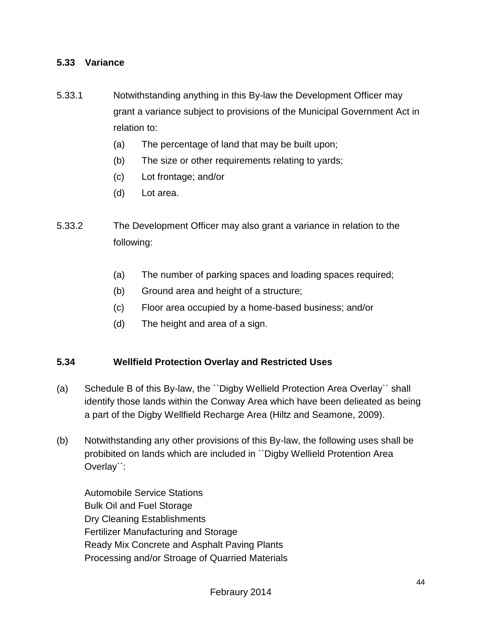#### **5.33 Variance**

- 5.33.1 Notwithstanding anything in this By-law the Development Officer may grant a variance subject to provisions of the Municipal Government Act in relation to:
	- (a) The percentage of land that may be built upon;
	- (b) The size or other requirements relating to yards;
	- (c) Lot frontage; and/or
	- (d) Lot area.
- 5.33.2 The Development Officer may also grant a variance in relation to the following:
	- (a) The number of parking spaces and loading spaces required;
	- (b) Ground area and height of a structure;
	- (c) Floor area occupied by a home-based business; and/or
	- (d) The height and area of a sign.

#### **5.34 Wellfield Protection Overlay and Restricted Uses**

- (a) Schedule B of this By-law, the ``Digby Wellield Protection Area Overlay`` shall identify those lands within the Conway Area which have been delieated as being a part of the Digby Wellfield Recharge Area (Hiltz and Seamone, 2009).
- (b) Notwithstanding any other provisions of this By-law, the following uses shall be probibited on lands which are included in ``Digby Wellield Protention Area Overlay``:

Automobile Service Stations Bulk Oil and Fuel Storage Dry Cleaning Establishments Fertilizer Manufacturing and Storage Ready Mix Concrete and Asphalt Paving Plants Processing and/or Stroage of Quarried Materials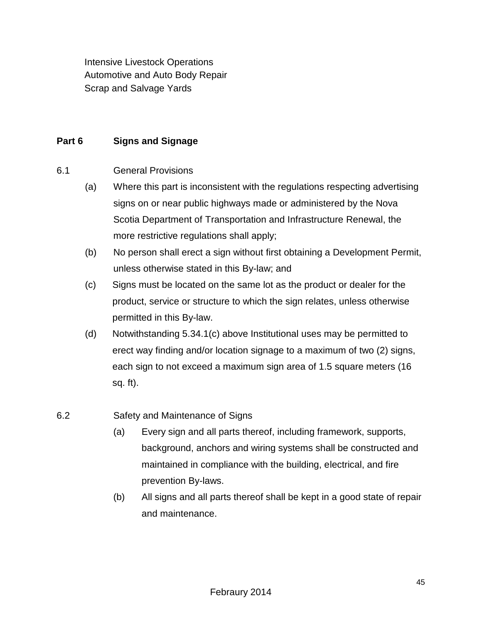Intensive Livestock Operations Automotive and Auto Body Repair Scrap and Salvage Yards

## **Part 6 Signs and Signage**

6.1 General Provisions

- (a) Where this part is inconsistent with the regulations respecting advertising signs on or near public highways made or administered by the Nova Scotia Department of Transportation and Infrastructure Renewal, the more restrictive regulations shall apply;
- (b) No person shall erect a sign without first obtaining a Development Permit, unless otherwise stated in this By-law; and
- (c) Signs must be located on the same lot as the product or dealer for the product, service or structure to which the sign relates, unless otherwise permitted in this By-law.
- (d) Notwithstanding 5.34.1(c) above Institutional uses may be permitted to erect way finding and/or location signage to a maximum of two (2) signs, each sign to not exceed a maximum sign area of 1.5 square meters (16 sq. ft).

## 6.2 Safety and Maintenance of Signs

- (a) Every sign and all parts thereof, including framework, supports, background, anchors and wiring systems shall be constructed and maintained in compliance with the building, electrical, and fire prevention By-laws.
- (b) All signs and all parts thereof shall be kept in a good state of repair and maintenance.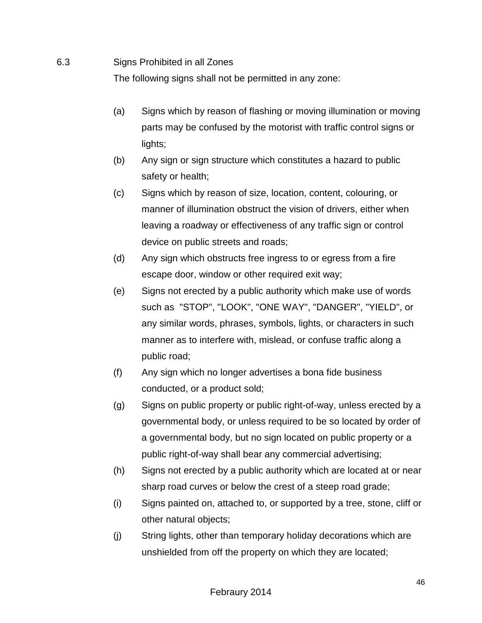#### 6.3 Signs Prohibited in all Zones

The following signs shall not be permitted in any zone:

- (a) Signs which by reason of flashing or moving illumination or moving parts may be confused by the motorist with traffic control signs or lights;
- (b) Any sign or sign structure which constitutes a hazard to public safety or health;
- (c) Signs which by reason of size, location, content, colouring, or manner of illumination obstruct the vision of drivers, either when leaving a roadway or effectiveness of any traffic sign or control device on public streets and roads;
- (d) Any sign which obstructs free ingress to or egress from a fire escape door, window or other required exit way;
- (e) Signs not erected by a public authority which make use of words such as "STOP", "LOOK", "ONE WAY", "DANGER", "YIELD", or any similar words, phrases, symbols, lights, or characters in such manner as to interfere with, mislead, or confuse traffic along a public road;
- (f) Any sign which no longer advertises a bona fide business conducted, or a product sold;
- (g) Signs on public property or public right-of-way, unless erected by a governmental body, or unless required to be so located by order of a governmental body, but no sign located on public property or a public right-of-way shall bear any commercial advertising;
- (h) Signs not erected by a public authority which are located at or near sharp road curves or below the crest of a steep road grade;
- (i) Signs painted on, attached to, or supported by a tree, stone, cliff or other natural objects;
- (j) String lights, other than temporary holiday decorations which are unshielded from off the property on which they are located;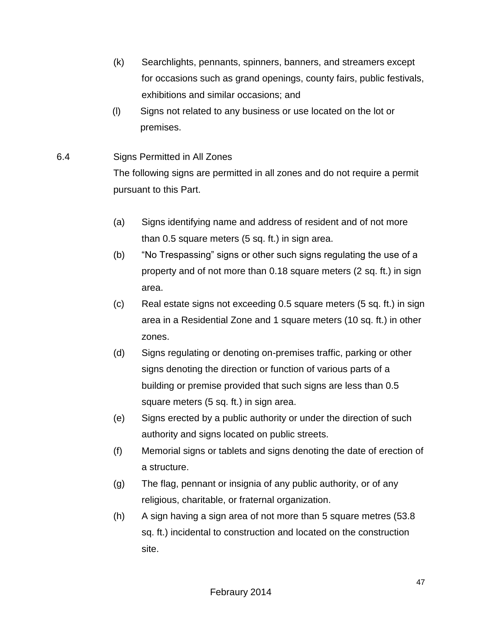- (k) Searchlights, pennants, spinners, banners, and streamers except for occasions such as grand openings, county fairs, public festivals, exhibitions and similar occasions; and
- (l) Signs not related to any business or use located on the lot or premises.
- 6.4 Signs Permitted in All Zones

The following signs are permitted in all zones and do not require a permit pursuant to this Part.

- (a) Signs identifying name and address of resident and of not more than 0.5 square meters (5 sq. ft.) in sign area.
- (b) "No Trespassing" signs or other such signs regulating the use of a property and of not more than 0.18 square meters (2 sq. ft.) in sign area.
- (c) Real estate signs not exceeding 0.5 square meters (5 sq. ft.) in sign area in a Residential Zone and 1 square meters (10 sq. ft.) in other zones.
- (d) Signs regulating or denoting on-premises traffic, parking or other signs denoting the direction or function of various parts of a building or premise provided that such signs are less than 0.5 square meters (5 sq. ft.) in sign area.
- (e) Signs erected by a public authority or under the direction of such authority and signs located on public streets.
- (f) Memorial signs or tablets and signs denoting the date of erection of a structure.
- (g) The flag, pennant or insignia of any public authority, or of any religious, charitable, or fraternal organization.
- (h) A sign having a sign area of not more than 5 square metres (53.8 sq. ft.) incidental to construction and located on the construction site.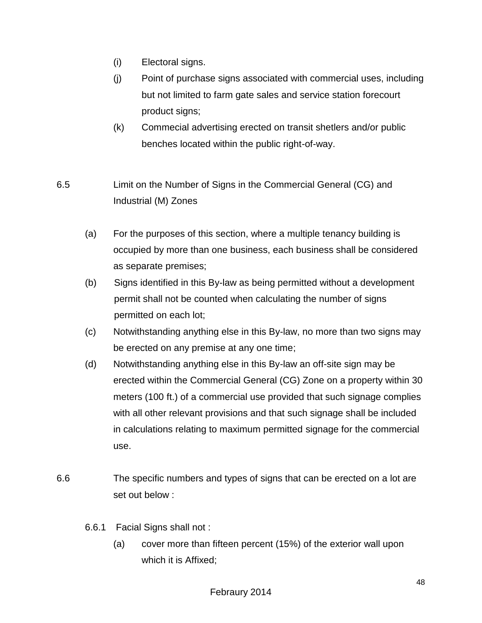- (i) Electoral signs.
- (j) Point of purchase signs associated with commercial uses, including but not limited to farm gate sales and service station forecourt product signs;
- (k) Commecial advertising erected on transit shetlers and/or public benches located within the public right-of-way.
- 6.5 Limit on the Number of Signs in the Commercial General (CG) and Industrial (M) Zones
	- (a) For the purposes of this section, where a multiple tenancy building is occupied by more than one business, each business shall be considered as separate premises;
	- (b) Signs identified in this By-law as being permitted without a development permit shall not be counted when calculating the number of signs permitted on each lot;
	- (c) Notwithstanding anything else in this By-law, no more than two signs may be erected on any premise at any one time;
	- (d) Notwithstanding anything else in this By-law an off-site sign may be erected within the Commercial General (CG) Zone on a property within 30 meters (100 ft.) of a commercial use provided that such signage complies with all other relevant provisions and that such signage shall be included in calculations relating to maximum permitted signage for the commercial use.
- 6.6 The specific numbers and types of signs that can be erected on a lot are set out below :
	- 6.6.1 Facial Signs shall not :
		- (a) cover more than fifteen percent (15%) of the exterior wall upon which it is Affixed;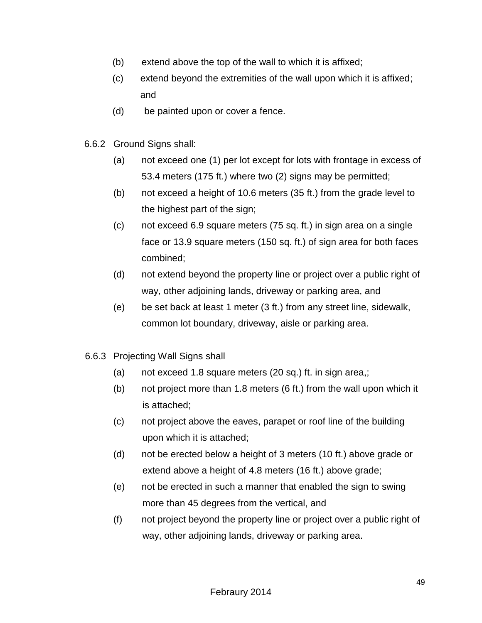- (b) extend above the top of the wall to which it is affixed;
- (c) extend beyond the extremities of the wall upon which it is affixed; and
- (d) be painted upon or cover a fence.
- 6.6.2 Ground Signs shall:
	- (a) not exceed one (1) per lot except for lots with frontage in excess of 53.4 meters (175 ft.) where two (2) signs may be permitted;
	- (b) not exceed a height of 10.6 meters (35 ft.) from the grade level to the highest part of the sign;
	- (c) not exceed 6.9 square meters (75 sq. ft.) in sign area on a single face or 13.9 square meters (150 sq. ft.) of sign area for both faces combined;
	- (d) not extend beyond the property line or project over a public right of way, other adjoining lands, driveway or parking area, and
	- (e) be set back at least 1 meter (3 ft.) from any street line, sidewalk, common lot boundary, driveway, aisle or parking area.
- 6.6.3 Projecting Wall Signs shall
	- (a) not exceed 1.8 square meters (20 sq.) ft. in sign area,;
	- (b) not project more than 1.8 meters (6 ft.) from the wall upon which it is attached;
	- (c) not project above the eaves, parapet or roof line of the building upon which it is attached;
	- (d) not be erected below a height of 3 meters (10 ft.) above grade or extend above a height of 4.8 meters (16 ft.) above grade;
	- (e) not be erected in such a manner that enabled the sign to swing more than 45 degrees from the vertical, and
	- (f) not project beyond the property line or project over a public right of way, other adjoining lands, driveway or parking area.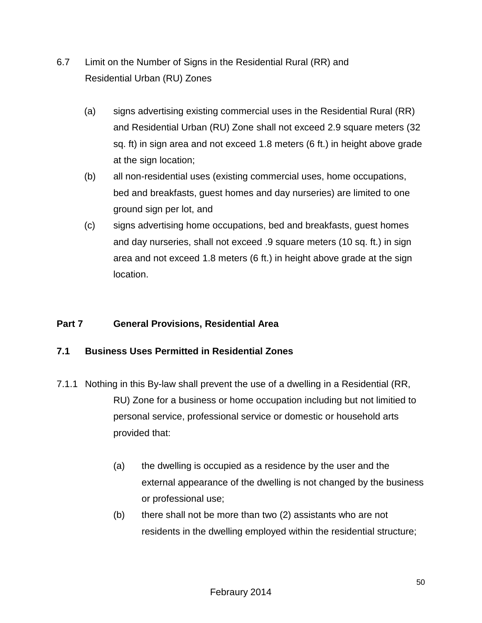- 6.7 Limit on the Number of Signs in the Residential Rural (RR) and Residential Urban (RU) Zones
	- (a) signs advertising existing commercial uses in the Residential Rural (RR) and Residential Urban (RU) Zone shall not exceed 2.9 square meters (32 sq. ft) in sign area and not exceed 1.8 meters (6 ft.) in height above grade at the sign location;
	- (b) all non-residential uses (existing commercial uses, home occupations, bed and breakfasts, guest homes and day nurseries) are limited to one ground sign per lot, and
	- (c) signs advertising home occupations, bed and breakfasts, guest homes and day nurseries, shall not exceed .9 square meters (10 sq. ft.) in sign area and not exceed 1.8 meters (6 ft.) in height above grade at the sign location.

## **Part 7 General Provisions, Residential Area**

## **7.1 Business Uses Permitted in Residential Zones**

- 7.1.1 Nothing in this By-law shall prevent the use of a dwelling in a Residential (RR, RU) Zone for a business or home occupation including but not limitied to personal service, professional service or domestic or household arts provided that:
	- (a) the dwelling is occupied as a residence by the user and the external appearance of the dwelling is not changed by the business or professional use;
	- (b) there shall not be more than two (2) assistants who are not residents in the dwelling employed within the residential structure;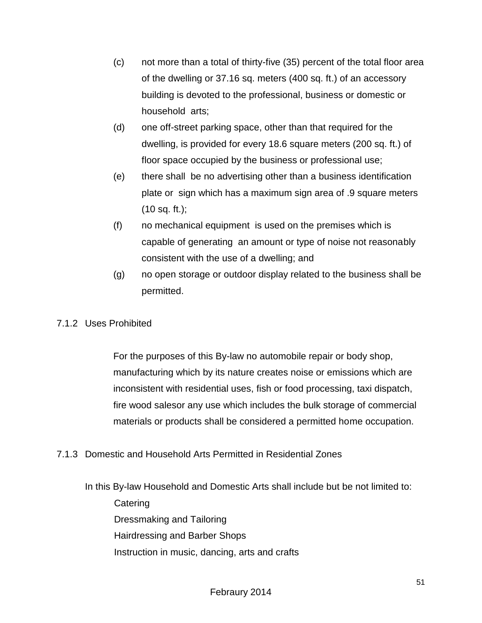- (c) not more than a total of thirty-five (35) percent of the total floor area of the dwelling or 37.16 sq. meters (400 sq. ft.) of an accessory building is devoted to the professional, business or domestic or household arts;
- (d) one off-street parking space, other than that required for the dwelling, is provided for every 18.6 square meters (200 sq. ft.) of floor space occupied by the business or professional use;
- (e) there shall be no advertising other than a business identification plate or sign which has a maximum sign area of .9 square meters  $(10$  sq. ft.);
- (f) no mechanical equipment is used on the premises which is capable of generating an amount or type of noise not reasonably consistent with the use of a dwelling; and
- (g) no open storage or outdoor display related to the business shall be permitted.

## 7.1.2 Uses Prohibited

For the purposes of this By-law no automobile repair or body shop, manufacturing which by its nature creates noise or emissions which are inconsistent with residential uses, fish or food processing, taxi dispatch, fire wood salesor any use which includes the bulk storage of commercial materials or products shall be considered a permitted home occupation.

7.1.3 Domestic and Household Arts Permitted in Residential Zones

In this By-law Household and Domestic Arts shall include but be not limited to: **Catering** Dressmaking and Tailoring Hairdressing and Barber Shops Instruction in music, dancing, arts and crafts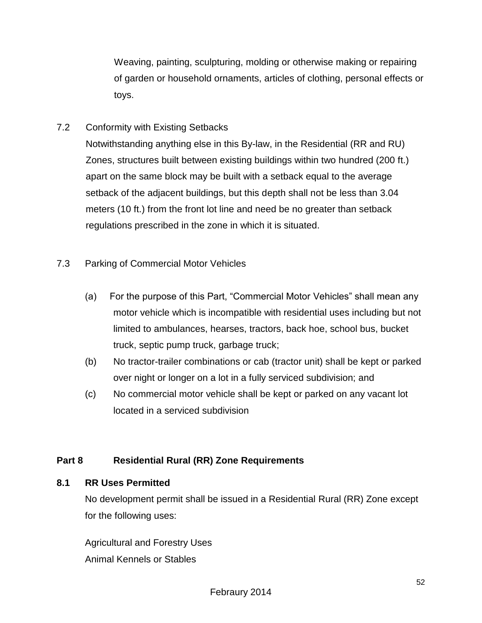Weaving, painting, sculpturing, molding or otherwise making or repairing of garden or household ornaments, articles of clothing, personal effects or toys.

7.2 Conformity with Existing Setbacks

Notwithstanding anything else in this By-law, in the Residential (RR and RU) Zones, structures built between existing buildings within two hundred (200 ft.) apart on the same block may be built with a setback equal to the average setback of the adjacent buildings, but this depth shall not be less than 3.04 meters (10 ft.) from the front lot line and need be no greater than setback regulations prescribed in the zone in which it is situated.

- 7.3 Parking of Commercial Motor Vehicles
	- (a) For the purpose of this Part, "Commercial Motor Vehicles" shall mean any motor vehicle which is incompatible with residential uses including but not limited to ambulances, hearses, tractors, back hoe, school bus, bucket truck, septic pump truck, garbage truck;
	- (b) No tractor-trailer combinations or cab (tractor unit) shall be kept or parked over night or longer on a lot in a fully serviced subdivision; and
	- (c) No commercial motor vehicle shall be kept or parked on any vacant lot located in a serviced subdivision

## **Part 8 Residential Rural (RR) Zone Requirements**

## **8.1 RR Uses Permitted**

No development permit shall be issued in a Residential Rural (RR) Zone except for the following uses:

Agricultural and Forestry Uses Animal Kennels or Stables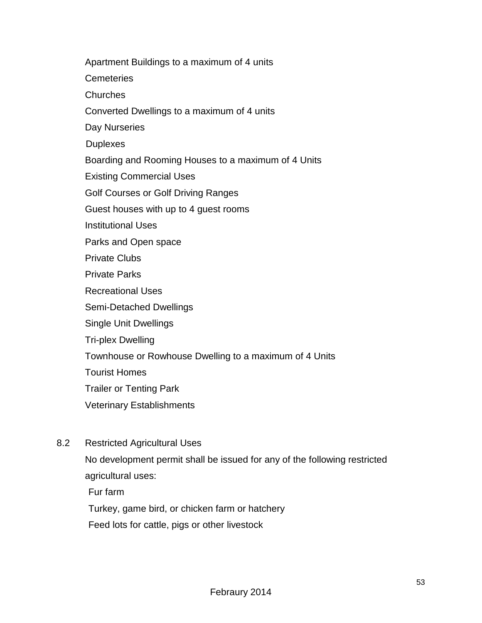Apartment Buildings to a maximum of 4 units **Cemeteries**  Churches Converted Dwellings to a maximum of 4 units Day Nurseries **Duplexes** Boarding and Rooming Houses to a maximum of 4 Units Existing Commercial Uses Golf Courses or Golf Driving Ranges Guest houses with up to 4 guest rooms Institutional Uses Parks and Open space Private Clubs Private Parks Recreational Uses Semi-Detached Dwellings Single Unit Dwellings Tri-plex Dwelling Townhouse or Rowhouse Dwelling to a maximum of 4 Units Tourist Homes Trailer or Tenting Park Veterinary Establishments

8.2 Restricted Agricultural Uses

No development permit shall be issued for any of the following restricted agricultural uses:

Fur farm

Turkey, game bird, or chicken farm or hatchery

Feed lots for cattle, pigs or other livestock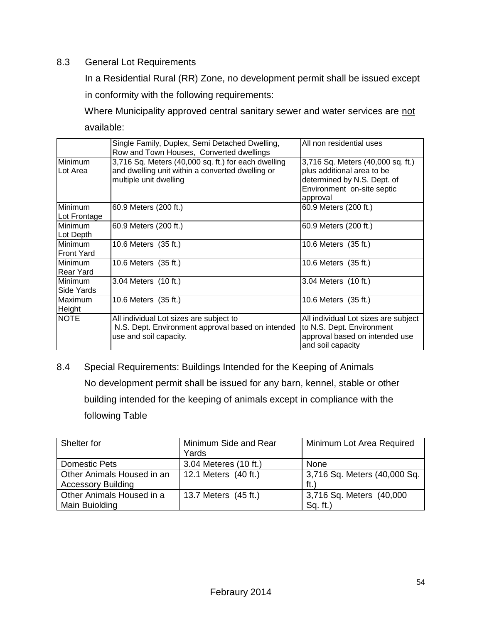#### 8.3 General Lot Requirements

In a Residential Rural (RR) Zone, no development permit shall be issued except in conformity with the following requirements:

Where Municipality approved central sanitary sewer and water services are not available:

|                                    | Single Family, Duplex, Semi Detached Dwelling,<br>Row and Town Houses, Converted dwellings                                        | All non residential uses                                                                                                                 |
|------------------------------------|-----------------------------------------------------------------------------------------------------------------------------------|------------------------------------------------------------------------------------------------------------------------------------------|
| Minimum<br>Lot Area                | 3,716 Sq. Meters (40,000 sq. ft.) for each dwelling<br>and dwelling unit within a converted dwelling or<br>multiple unit dwelling | 3,716 Sq. Meters (40,000 sq. ft.)<br>plus additional area to be<br>determined by N.S. Dept. of<br>Environment on-site septic<br>approval |
| <b>Minimum</b><br>Lot Frontage     | 60.9 Meters (200 ft.)                                                                                                             | 60.9 Meters (200 ft.)                                                                                                                    |
| <b>Minimum</b><br>Lot Depth        | 60.9 Meters (200 ft.)                                                                                                             | 60.9 Meters (200 ft.)                                                                                                                    |
| Minimum<br><b>Front Yard</b>       | 10.6 Meters (35 ft.)                                                                                                              | 10.6 Meters (35 ft.)                                                                                                                     |
| <b>Minimum</b><br><b>Rear Yard</b> | 10.6 Meters (35 ft.)                                                                                                              | 10.6 Meters (35 ft.)                                                                                                                     |
| <b>Minimum</b><br>Side Yards       | 3.04 Meters (10 ft.)                                                                                                              | 3.04 Meters (10 ft.)                                                                                                                     |
| Maximum<br>Height                  | 10.6 Meters (35 ft.)                                                                                                              | 10.6 Meters (35 ft.)                                                                                                                     |
| <b>NOTE</b>                        | All individual Lot sizes are subject to<br>N.S. Dept. Environment approval based on intended<br>use and soil capacity.            | All individual Lot sizes are subject<br>to N.S. Dept. Environment<br>approval based on intended use<br>and soil capacity                 |

8.4 Special Requirements: Buildings Intended for the Keeping of Animals No development permit shall be issued for any barn, kennel, stable or other building intended for the keeping of animals except in compliance with the following Table

| Shelter for                | Minimum Side and Rear | Minimum Lot Area Required    |
|----------------------------|-----------------------|------------------------------|
|                            | Yards                 |                              |
| Domestic Pets              | 3.04 Meteres (10 ft.) | None                         |
| Other Animals Housed in an | 12.1 Meters (40 ft.)  | 3,716 Sq. Meters (40,000 Sq. |
| <b>Accessory Building</b>  |                       | ft.                          |
| Other Animals Housed in a  | 13.7 Meters (45 ft.)  | 3,716 Sq. Meters (40,000     |
| Main Buiolding             |                       | Sq. ft.)                     |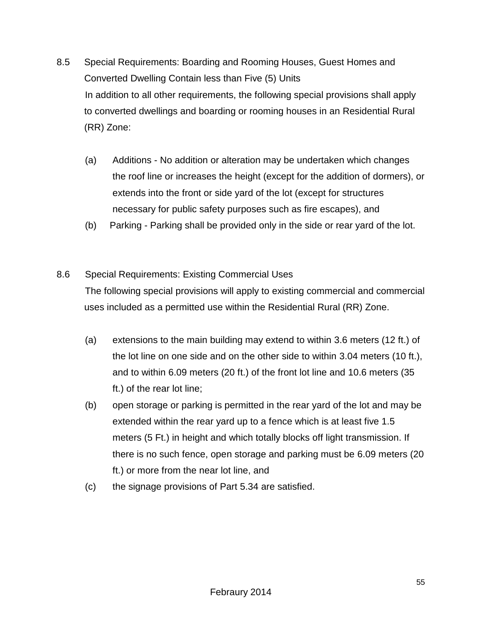- 8.5Special Requirements: Boarding and Rooming Houses, Guest Homes and Converted Dwelling Contain less than Five (5) Units In addition to all other requirements, the following special provisions shall apply to converted dwellings and boarding or rooming houses in an Residential Rural (RR) Zone:
	- (a) Additions No addition or alteration may be undertaken which changes the roof line or increases the height (except for the addition of dormers), or extends into the front or side yard of the lot (except for structures necessary for public safety purposes such as fire escapes), and
	- (b) Parking Parking shall be provided only in the side or rear yard of the lot.
- 8.6 Special Requirements: Existing Commercial Uses The following special provisions will apply to existing commercial and commercial uses included as a permitted use within the Residential Rural (RR) Zone.
	- (a) extensions to the main building may extend to within 3.6 meters (12 ft.) of the lot line on one side and on the other side to within 3.04 meters (10 ft.), and to within 6.09 meters (20 ft.) of the front lot line and 10.6 meters (35 ft.) of the rear lot line;
	- (b) open storage or parking is permitted in the rear yard of the lot and may be extended within the rear yard up to a fence which is at least five 1.5 meters (5 Ft.) in height and which totally blocks off light transmission. If there is no such fence, open storage and parking must be 6.09 meters (20 ft.) or more from the near lot line, and
	- (c) the signage provisions of Part 5.34 are satisfied.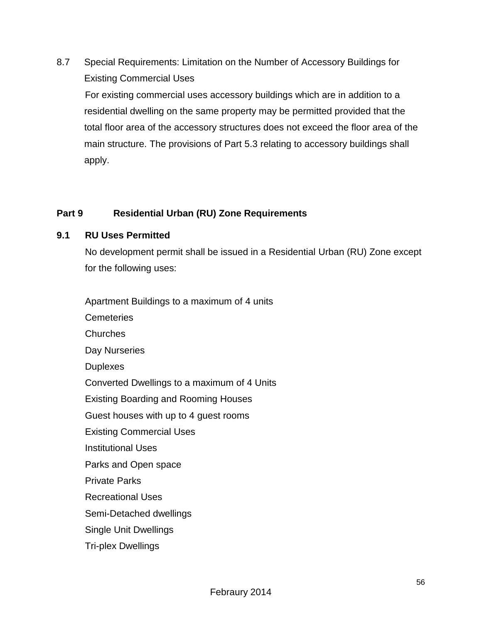8.7 Special Requirements: Limitation on the Number of Accessory Buildings for Existing Commercial Uses For existing commercial uses accessory buildings which are in addition to a residential dwelling on the same property may be permitted provided that the total floor area of the accessory structures does not exceed the floor area of the main structure. The provisions of Part 5.3 relating to accessory buildings shall apply.

## **Part 9 Residential Urban (RU) Zone Requirements**

#### **9.1 RU Uses Permitted**

No development permit shall be issued in a Residential Urban (RU) Zone except for the following uses:

Apartment Buildings to a maximum of 4 units

**Cemeteries Churches**  Day Nurseries **Duplexes**  Converted Dwellings to a maximum of 4 Units Existing Boarding and Rooming Houses Guest houses with up to 4 guest rooms Existing Commercial Uses Institutional Uses Parks and Open space Private Parks Recreational Uses Semi-Detached dwellings Single Unit Dwellings Tri-plex Dwellings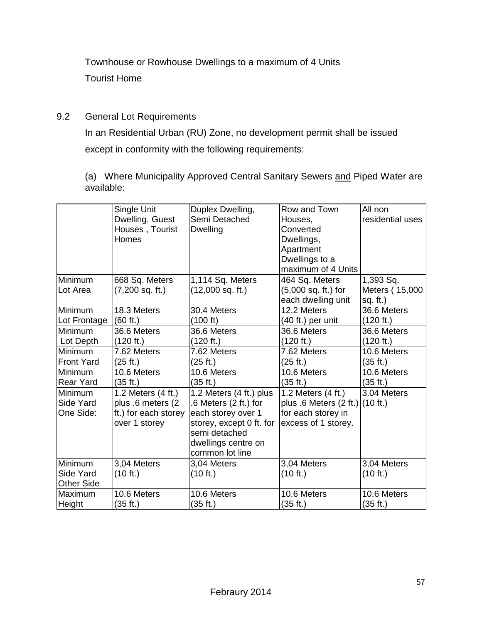Townhouse or Rowhouse Dwellings to a maximum of 4 Units Tourist Home

9.2 General Lot Requirements

In an Residential Urban (RU) Zone, no development permit shall be issued except in conformity with the following requirements:

(a) Where Municipality Approved Central Sanitary Sewers and Piped Water are available:

|                   | Single Unit          | Duplex Dwelling,         | Row and Town                        | All non          |
|-------------------|----------------------|--------------------------|-------------------------------------|------------------|
|                   | Dwelling, Guest      | Semi Detached            | Houses,                             | residential uses |
|                   | Houses, Tourist      | <b>Dwelling</b>          | Converted                           |                  |
|                   | Homes                |                          | Dwellings,                          |                  |
|                   |                      |                          | Apartment                           |                  |
|                   |                      |                          | Dwellings to a                      |                  |
|                   |                      |                          | maximum of 4 Units                  |                  |
| Minimum           | 668 Sq. Meters       | 1,114 Sq. Meters         | 464 Sq. Meters                      | 1,393 Sq.        |
| Lot Area          | $(7,200$ sq. ft.)    | $(12,000$ sq. ft.)       | (5,000 sq. ft.) for                 | Meters (15,000   |
|                   |                      |                          | each dwelling unit                  | sq. $ft.$ )      |
| Minimum           | 18.3 Meters          | 30.4 Meters              | 12.2 Meters                         | 36.6 Meters      |
| Lot Frontage      | (60 ft.)             | (100 ft)                 | (40 ft.) per unit                   | (120 ft.)        |
| Minimum           | 36.6 Meters          | 36.6 Meters              | 36.6 Meters                         | 36.6 Meters      |
| Lot Depth         | (120 ft.)            | (120 ft.)                | (120 ft.)                           | (120 ft.)        |
| Minimum           | 7.62 Meters          | 7.62 Meters              | 7.62 Meters                         | 10.6 Meters      |
| <b>Front Yard</b> | (25 ft.)             | (25 ft.)                 | (25 ft.)                            | (35 ft.)         |
| Minimum           | 10.6 Meters          | 10.6 Meters              | 10.6 Meters                         | 10.6 Meters      |
| <b>Rear Yard</b>  | (35 ft.)             | (35 ft.)                 | (35 ft.)                            | (35 ft.)         |
| Minimum           | 1.2 Meters (4 ft.)   | 1.2 Meters (4 ft.) plus  | 1.2 Meters (4 ft.)                  | 3.04 Meters      |
| Side Yard         | plus .6 meters (2    | .6 Meters (2 ft.) for    | plus $.6$ Meters $(2 ft.)$ (10 ft.) |                  |
| One Side:         | ft.) for each storey | each storey over 1       | for each storey in                  |                  |
|                   | over 1 storey        | storey, except 0 ft. for | excess of 1 storey.                 |                  |
|                   |                      | semi detached            |                                     |                  |
|                   |                      | dwellings centre on      |                                     |                  |
|                   |                      | common lot line          |                                     |                  |
| Minimum           | 3,04 Meters          | 3,04 Meters              | 3,04 Meters                         | 3,04 Meters      |
| Side Yard         | (10 ft.)             | (10 ft.)                 | (10 ft.)                            | (10 ft.)         |
| <b>Other Side</b> |                      |                          |                                     |                  |
| Maximum           | 10.6 Meters          | 10.6 Meters              | 10.6 Meters                         | 10.6 Meters      |
| Height            | (35 ft.)             | (35 ft.)                 | (35 ft.)                            | (35 ft.)         |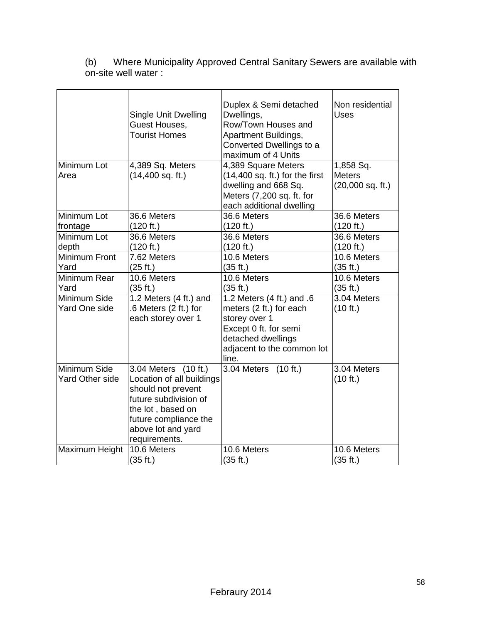(b) Where Municipality Approved Central Sanitary Sewers are available with on-site well water :

| Minimum Lot<br>Area                    | <b>Single Unit Dwelling</b><br>Guest Houses,<br><b>Tourist Homes</b><br>4,389 Sq. Meters<br>$(14,400$ sq. ft.)                                                                        | Duplex & Semi detached<br>Dwellings,<br>Row/Town Houses and<br>Apartment Buildings,<br>Converted Dwellings to a<br>maximum of 4 Units<br>4,389 Square Meters<br>$(14,400$ sq. ft.) for the first<br>dwelling and 668 Sq.<br>Meters (7,200 sq. ft. for<br>each additional dwelling | Non residential<br><b>Uses</b><br>1,858 Sq.<br><b>Meters</b><br>$(20,000$ sq. ft.) |
|----------------------------------------|---------------------------------------------------------------------------------------------------------------------------------------------------------------------------------------|-----------------------------------------------------------------------------------------------------------------------------------------------------------------------------------------------------------------------------------------------------------------------------------|------------------------------------------------------------------------------------|
| Minimum Lot                            | 36.6 Meters                                                                                                                                                                           | 36.6 Meters                                                                                                                                                                                                                                                                       | 36.6 Meters                                                                        |
| frontage                               | (120 ft.)                                                                                                                                                                             | (120 ft.)                                                                                                                                                                                                                                                                         | (120 ft.)                                                                          |
| Minimum Lot                            | 36.6 Meters                                                                                                                                                                           | 36.6 Meters                                                                                                                                                                                                                                                                       | 36.6 Meters                                                                        |
| depth                                  | (120 ft.)                                                                                                                                                                             | (120 ft.)                                                                                                                                                                                                                                                                         | (120 ft.)                                                                          |
| <b>Minimum Front</b>                   | 7.62 Meters                                                                                                                                                                           | 10.6 Meters                                                                                                                                                                                                                                                                       | 10.6 Meters                                                                        |
| Yard                                   | (25 ft.)                                                                                                                                                                              | (35 ft.)                                                                                                                                                                                                                                                                          | (35 ft.)                                                                           |
| Minimum Rear                           | 10.6 Meters                                                                                                                                                                           | 10.6 Meters                                                                                                                                                                                                                                                                       | 10.6 Meters                                                                        |
| Yard                                   | (35 ft.)                                                                                                                                                                              | (35 ft.)                                                                                                                                                                                                                                                                          | (35 ft.)                                                                           |
| Minimum Side<br>Yard One side          | 1.2 Meters (4 ft.) and<br>.6 Meters (2 ft.) for<br>each storey over 1                                                                                                                 | 1.2 Meters (4 ft.) and .6<br>meters (2 ft.) for each<br>storey over 1<br>Except 0 ft. for semi<br>detached dwellings<br>adjacent to the common lot<br>line.                                                                                                                       | 3.04 Meters<br>(10 ft.)                                                            |
| Minimum Side<br><b>Yard Other side</b> | 3.04 Meters (10 ft.)<br>Location of all buildings<br>should not prevent<br>future subdivision of<br>the lot, based on<br>future compliance the<br>above lot and yard<br>requirements. | 3.04 Meters (10 ft.)                                                                                                                                                                                                                                                              | 3.04 Meters<br>(10 ft.)                                                            |
| Maximum Height                         | 10.6 Meters                                                                                                                                                                           | 10.6 Meters                                                                                                                                                                                                                                                                       | 10.6 Meters                                                                        |
|                                        | (35 ft.)                                                                                                                                                                              | (35 ft.)                                                                                                                                                                                                                                                                          | (35 ft.)                                                                           |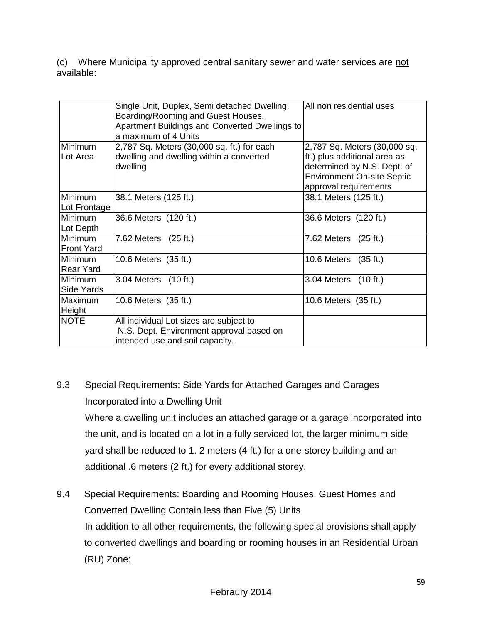(c) Where Municipality approved central sanitary sewer and water services are not available:

|                                    | Single Unit, Duplex, Semi detached Dwelling,<br>Boarding/Rooming and Guest Houses,<br>Apartment Buildings and Converted Dwellings to<br>a maximum of 4 Units | All non residential uses                                                                                                         |
|------------------------------------|--------------------------------------------------------------------------------------------------------------------------------------------------------------|----------------------------------------------------------------------------------------------------------------------------------|
| Minimum<br>Lot Area                | 2,787 Sq. Meters (30,000 sq. ft.) for each<br>dwelling and dwelling within a converted<br>dwelling                                                           | 2,787 Sq. Meters (30,000 sq.<br>ft.) plus additional area as<br>determined by N.S. Dept. of<br><b>Environment On-site Septic</b> |
| <b>Minimum</b><br>Lot Frontage     | 38.1 Meters (125 ft.)                                                                                                                                        | approval requirements<br>38.1 Meters (125 ft.)                                                                                   |
| <b>Minimum</b><br>Lot Depth        | 36.6 Meters (120 ft.)                                                                                                                                        | 36.6 Meters (120 ft.)                                                                                                            |
| Minimum<br><b>Front Yard</b>       | 7.62 Meters (25 ft.)                                                                                                                                         | 7.62 Meters (25 ft.)                                                                                                             |
| <b>Minimum</b><br><b>Rear Yard</b> | 10.6 Meters (35 ft.)                                                                                                                                         | 10.6 Meters<br>(35 ft.)                                                                                                          |
| <b>Minimum</b><br>Side Yards       | 3.04 Meters (10 ft.)                                                                                                                                         | 3.04 Meters (10 ft.)                                                                                                             |
| Maximum<br>Height                  | 10.6 Meters (35 ft.)                                                                                                                                         | 10.6 Meters (35 ft.)                                                                                                             |
| <b>NOTE</b>                        | All individual Lot sizes are subject to<br>N.S. Dept. Environment approval based on<br>intended use and soil capacity.                                       |                                                                                                                                  |

# 9.3 Special Requirements: Side Yards for Attached Garages and Garages Incorporated into a Dwelling Unit

Where a dwelling unit includes an attached garage or a garage incorporated into the unit, and is located on a lot in a fully serviced lot, the larger minimum side yard shall be reduced to 1. 2 meters (4 ft.) for a one-storey building and an additional .6 meters (2 ft.) for every additional storey.

9.4Special Requirements: Boarding and Rooming Houses, Guest Homes and Converted Dwelling Contain less than Five (5) Units In addition to all other requirements, the following special provisions shall apply to converted dwellings and boarding or rooming houses in an Residential Urban (RU) Zone: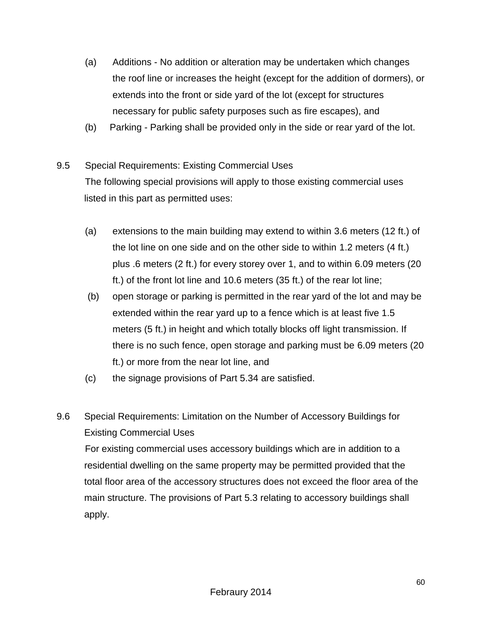- (a) Additions No addition or alteration may be undertaken which changes the roof line or increases the height (except for the addition of dormers), or extends into the front or side yard of the lot (except for structures necessary for public safety purposes such as fire escapes), and
- (b) Parking Parking shall be provided only in the side or rear yard of the lot.
- 9.5 Special Requirements: Existing Commercial Uses The following special provisions will apply to those existing commercial uses listed in this part as permitted uses:
	- (a) extensions to the main building may extend to within 3.6 meters (12 ft.) of the lot line on one side and on the other side to within 1.2 meters (4 ft.) plus .6 meters (2 ft.) for every storey over 1, and to within 6.09 meters (20 ft.) of the front lot line and 10.6 meters (35 ft.) of the rear lot line;
	- (b) open storage or parking is permitted in the rear yard of the lot and may be extended within the rear yard up to a fence which is at least five 1.5 meters (5 ft.) in height and which totally blocks off light transmission. If there is no such fence, open storage and parking must be 6.09 meters (20 ft.) or more from the near lot line, and
	- (c) the signage provisions of Part 5.34 are satisfied.
- 9.6 Special Requirements: Limitation on the Number of Accessory Buildings for Existing Commercial Uses For existing commercial uses accessory buildings which are in addition to a residential dwelling on the same property may be permitted provided that the total floor area of the accessory structures does not exceed the floor area of the main structure. The provisions of Part 5.3 relating to accessory buildings shall apply.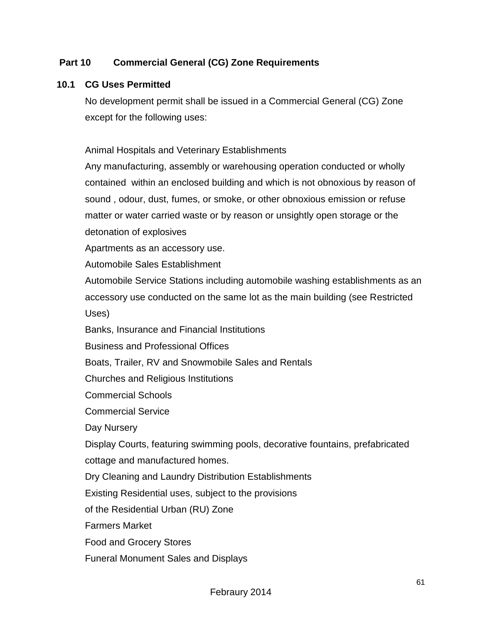## **Part 10 Commercial General (CG) Zone Requirements**

#### **10.1 CG Uses Permitted**

No development permit shall be issued in a Commercial General (CG) Zone except for the following uses:

Animal Hospitals and Veterinary Establishments

Any manufacturing, assembly or warehousing operation conducted or wholly contained within an enclosed building and which is not obnoxious by reason of sound , odour, dust, fumes, or smoke, or other obnoxious emission or refuse matter or water carried waste or by reason or unsightly open storage or the detonation of explosives

Apartments as an accessory use.

Automobile Sales Establishment

Automobile Service Stations including automobile washing establishments as an accessory use conducted on the same lot as the main building (see Restricted Uses)

Banks, Insurance and Financial Institutions

Business and Professional Offices

Boats, Trailer, RV and Snowmobile Sales and Rentals

Churches and Religious Institutions

Commercial Schools

Commercial Service

Day Nursery

Display Courts, featuring swimming pools, decorative fountains, prefabricated cottage and manufactured homes.

Dry Cleaning and Laundry Distribution Establishments

Existing Residential uses, subject to the provisions

of the Residential Urban (RU) Zone

Farmers Market

Food and Grocery Stores

Funeral Monument Sales and Displays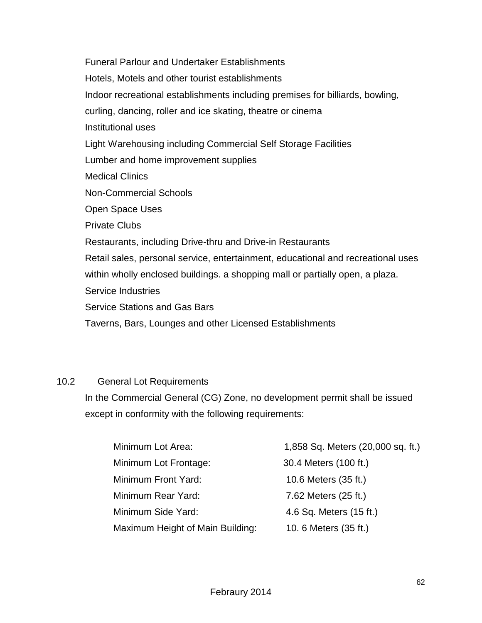Funeral Parlour and Undertaker Establishments Hotels, Motels and other tourist establishments Indoor recreational establishments including premises for billiards, bowling, curling, dancing, roller and ice skating, theatre or cinema Institutional uses Light Warehousing including Commercial Self Storage Facilities Lumber and home improvement supplies Medical Clinics Non-Commercial Schools Open Space Uses Private Clubs Restaurants, including Drive-thru and Drive-in Restaurants Retail sales, personal service, entertainment, educational and recreational uses within wholly enclosed buildings. a shopping mall or partially open, a plaza. Service Industries Service Stations and Gas Bars Taverns, Bars, Lounges and other Licensed Establishments

#### 10.2 General Lot Requirements

 In the Commercial General (CG) Zone, no development permit shall be issued except in conformity with the following requirements:

| Minimum Lot Area:                | 1,858 Sq. Meters (20,000 sq. ft.) |
|----------------------------------|-----------------------------------|
| Minimum Lot Frontage:            | 30.4 Meters (100 ft.)             |
| Minimum Front Yard:              | 10.6 Meters (35 ft.)              |
| Minimum Rear Yard:               | 7.62 Meters (25 ft.)              |
| Minimum Side Yard:               | 4.6 Sq. Meters (15 ft.)           |
| Maximum Height of Main Building: | 10. 6 Meters (35 ft.)             |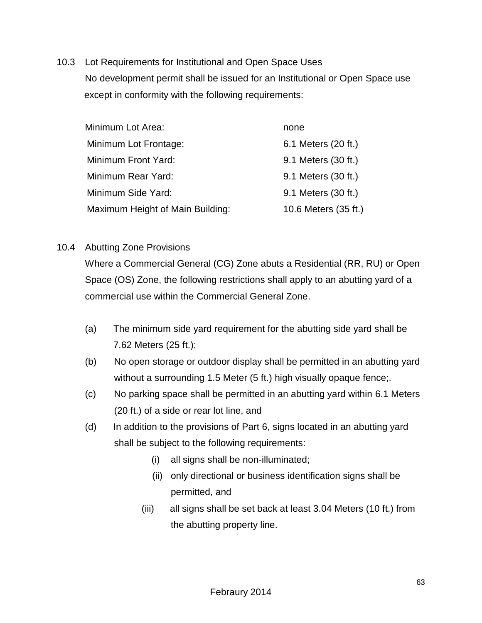10.3 Lot Requirements for Institutional and Open Space Uses No development permit shall be issued for an Institutional or Open Space use except in conformity with the following requirements:

| Minimum Lot Area:                | none                 |
|----------------------------------|----------------------|
| Minimum Lot Frontage:            | 6.1 Meters (20 ft.)  |
| Minimum Front Yard:              | 9.1 Meters (30 ft.)  |
| Minimum Rear Yard:               | 9.1 Meters (30 ft.)  |
| Minimum Side Yard:               | 9.1 Meters (30 ft.)  |
| Maximum Height of Main Building: | 10.6 Meters (35 ft.) |

10.4 Abutting Zone Provisions

Where a Commercial General (CG) Zone abuts a Residential (RR, RU) or Open Space (OS) Zone, the following restrictions shall apply to an abutting yard of a commercial use within the Commercial General Zone.

- (a) The minimum side yard requirement for the abutting side yard shall be 7.62 Meters (25 ft.);
- (b) No open storage or outdoor display shall be permitted in an abutting yard without a surrounding 1.5 Meter (5 ft.) high visually opaque fence;
- (c) No parking space shall be permitted in an abutting yard within 6.1 Meters (20 ft.) of a side or rear lot line, and
- (d) In addition to the provisions of Part 6, signs located in an abutting yard shall be subject to the following requirements:
	- (i) all signs shall be non-illuminated;
	- (ii) only directional or business identification signs shall be permitted, and
	- (iii) all signs shall be set back at least 3.04 Meters (10 ft.) from the abutting property line.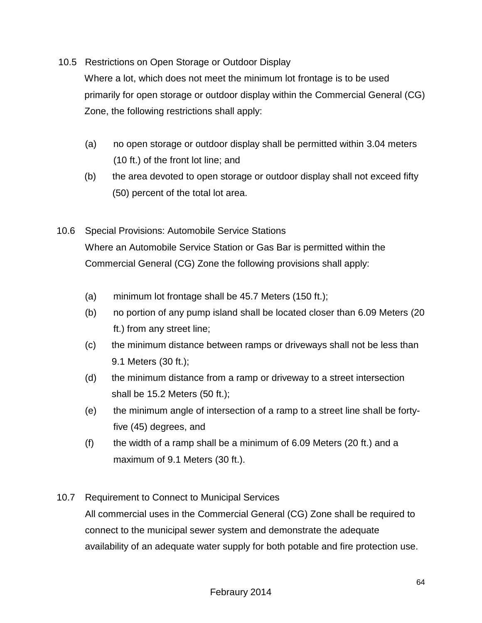10.5 Restrictions on Open Storage or Outdoor Display

Where a lot, which does not meet the minimum lot frontage is to be used primarily for open storage or outdoor display within the Commercial General (CG) Zone, the following restrictions shall apply:

- (a) no open storage or outdoor display shall be permitted within 3.04 meters (10 ft.) of the front lot line; and
- (b) the area devoted to open storage or outdoor display shall not exceed fifty (50) percent of the total lot area.
- 10.6 Special Provisions: Automobile Service Stations Where an Automobile Service Station or Gas Bar is permitted within the Commercial General (CG) Zone the following provisions shall apply:
	- (a) minimum lot frontage shall be 45.7 Meters (150 ft.);
	- (b) no portion of any pump island shall be located closer than 6.09 Meters (20 ft.) from any street line;
	- (c) the minimum distance between ramps or driveways shall not be less than 9.1 Meters (30 ft.);
	- (d) the minimum distance from a ramp or driveway to a street intersection shall be 15.2 Meters (50 ft.);
	- (e) the minimum angle of intersection of a ramp to a street line shall be fortyfive (45) degrees, and
	- (f) the width of a ramp shall be a minimum of 6.09 Meters (20 ft.) and a maximum of 9.1 Meters (30 ft.).
- 10.7 Requirement to Connect to Municipal Services All commercial uses in the Commercial General (CG) Zone shall be required to connect to the municipal sewer system and demonstrate the adequate availability of an adequate water supply for both potable and fire protection use.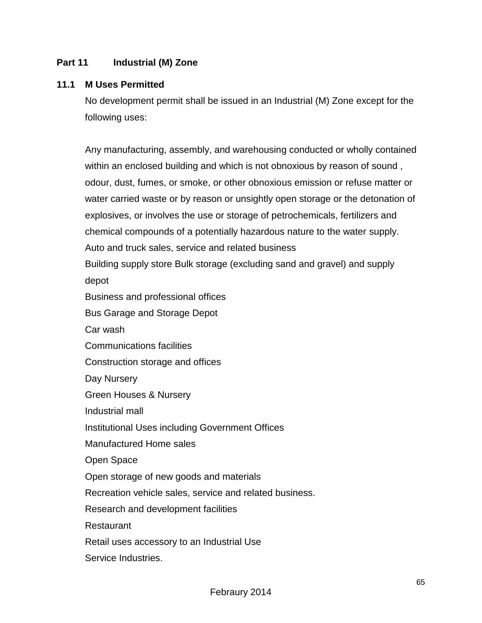#### **Part 11 Industrial (M) Zone**

#### **11.1 M Uses Permitted**

No development permit shall be issued in an Industrial (M) Zone except for the following uses:

Any manufacturing, assembly, and warehousing conducted or wholly contained within an enclosed building and which is not obnoxious by reason of sound , odour, dust, fumes, or smoke, or other obnoxious emission or refuse matter or water carried waste or by reason or unsightly open storage or the detonation of explosives, or involves the use or storage of petrochemicals, fertilizers and chemical compounds of a potentially hazardous nature to the water supply. Auto and truck sales, service and related business Building supply store Bulk storage (excluding sand and gravel) and supply depot Business and professional offices Bus Garage and Storage Depot Car wash Communications facilities Construction storage and offices Day Nursery Green Houses & Nursery Industrial mall Institutional Uses including Government Offices Manufactured Home sales Open Space Open storage of new goods and materials Recreation vehicle sales, service and related business. Research and development facilities Restaurant Retail uses accessory to an Industrial Use Service Industries.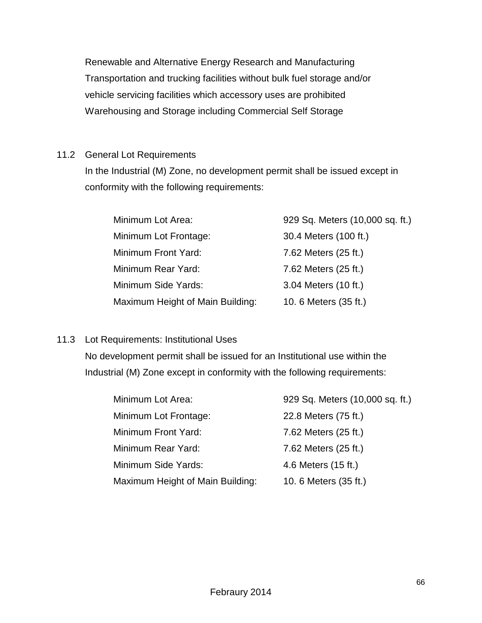Renewable and Alternative Energy Research and Manufacturing Transportation and trucking facilities without bulk fuel storage and/or vehicle servicing facilities which accessory uses are prohibited Warehousing and Storage including Commercial Self Storage

## 11.2 General Lot Requirements

In the Industrial (M) Zone, no development permit shall be issued except in conformity with the following requirements:

| Minimum Lot Area:                | 929 Sq. Meters (10,000 sq. ft.) |
|----------------------------------|---------------------------------|
| Minimum Lot Frontage:            | 30.4 Meters (100 ft.)           |
| Minimum Front Yard:              | 7.62 Meters (25 ft.)            |
| Minimum Rear Yard:               | 7.62 Meters (25 ft.)            |
| Minimum Side Yards:              | 3.04 Meters (10 ft.)            |
| Maximum Height of Main Building: | 10. 6 Meters (35 ft.)           |

## 11.3 Lot Requirements: Institutional Uses

No development permit shall be issued for an Institutional use within the Industrial (M) Zone except in conformity with the following requirements:

| Minimum Lot Area:                | 929 Sq. Meters (10,000 sq. ft.) |
|----------------------------------|---------------------------------|
| Minimum Lot Frontage:            | 22.8 Meters (75 ft.)            |
| Minimum Front Yard:              | 7.62 Meters (25 ft.)            |
| Minimum Rear Yard:               | 7.62 Meters (25 ft.)            |
| Minimum Side Yards:              | 4.6 Meters (15 ft.)             |
| Maximum Height of Main Building: | 10. 6 Meters (35 ft.)           |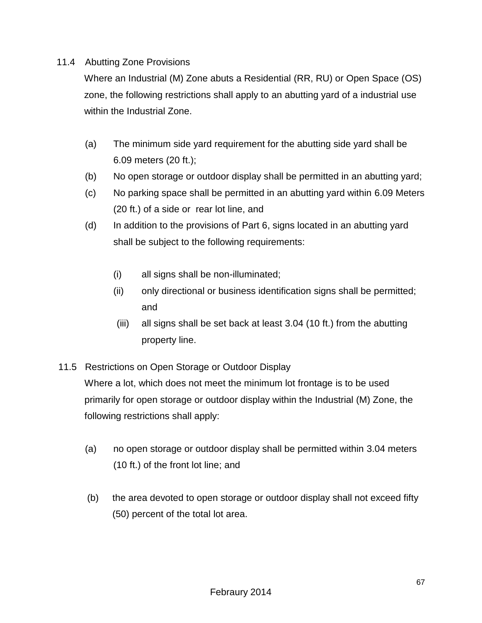#### 11.4 Abutting Zone Provisions

Where an Industrial (M) Zone abuts a Residential (RR, RU) or Open Space (OS) zone, the following restrictions shall apply to an abutting yard of a industrial use within the Industrial Zone.

- (a) The minimum side yard requirement for the abutting side yard shall be 6.09 meters (20 ft.);
- (b) No open storage or outdoor display shall be permitted in an abutting yard;
- (c) No parking space shall be permitted in an abutting yard within 6.09 Meters (20 ft.) of a side or rear lot line, and
- (d) In addition to the provisions of Part 6, signs located in an abutting yard shall be subject to the following requirements:
	- (i) all signs shall be non-illuminated;
	- (ii) only directional or business identification signs shall be permitted; and
	- (iii) all signs shall be set back at least 3.04 (10 ft.) from the abutting property line.
- 11.5 Restrictions on Open Storage or Outdoor Display

Where a lot, which does not meet the minimum lot frontage is to be used primarily for open storage or outdoor display within the Industrial (M) Zone, the following restrictions shall apply:

- (a) no open storage or outdoor display shall be permitted within 3.04 meters (10 ft.) of the front lot line; and
- (b) the area devoted to open storage or outdoor display shall not exceed fifty (50) percent of the total lot area.